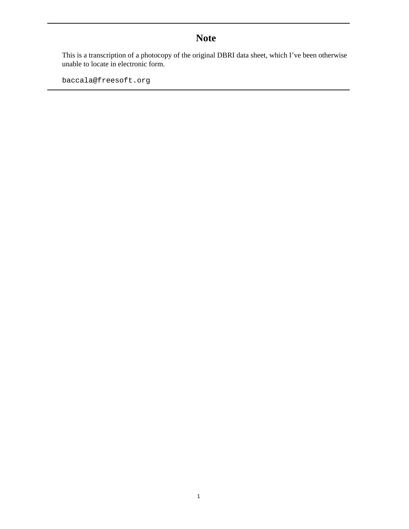# **Note**

This is a transcription of a photocopy of the original DBRI data sheet, which I've been otherwise unable to locate in electronic form.

baccala@freesoft.org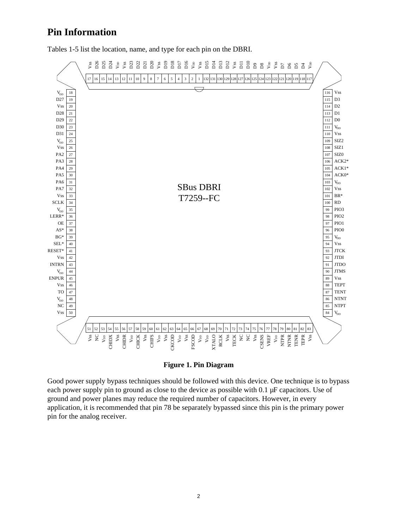# **Pin Information**

Tables 1-5 list the location, name, and type for each pin on the DBRI.



**Figure 1. Pin Diagram**

Good power supply bypass techniques should be followed with this device. One technique is to bypass each power supply pin to ground as close to the device as possible with 0.1 µF capacitors. Use of ground and power planes may reduce the required number of capacitors. However, in every application, it is recommended that pin 78 be separately bypassed since this pin is the primary power pin for the analog receiver.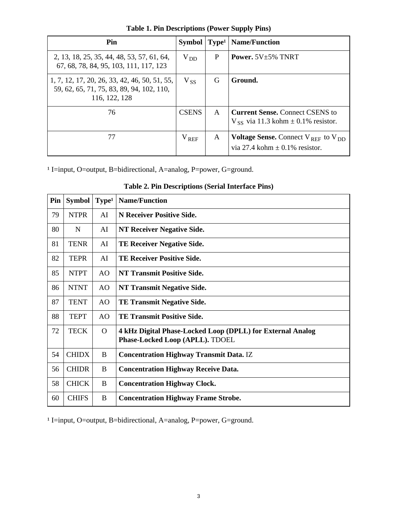| Pin                                                                                                         | <b>Symbol</b>   | Type <sup>1</sup> | <b>Name/Function</b>                                                                      |
|-------------------------------------------------------------------------------------------------------------|-----------------|-------------------|-------------------------------------------------------------------------------------------|
| 2, 13, 18, 25, 35, 44, 48, 53, 57, 61, 64,<br>67, 68, 78, 84, 95, 103, 111, 117, 123                        | $V_{DD}$        | P                 | <b>Power.</b> $5V+5\%$ TNRT                                                               |
| 1, 7, 12, 17, 20, 26, 33, 42, 46, 50, 51, 55,<br>59, 62, 65, 71, 75, 83, 89, 94, 102, 110,<br>116, 122, 128 | $V_{SS}$        | G                 | Ground.                                                                                   |
| 76                                                                                                          | <b>CSENS</b>    | A                 | <b>Current Sense, Connect CSENS to</b><br>$V_{SS}$ via 11.3 kohm $\pm$ 0.1% resistor.     |
| 77                                                                                                          | $\rm V_{\rm\,}$ | A                 | <b>Voltage Sense.</b> Connect $V_{RFF}$ to $V_{DD}$<br>via 27.4 kohm $\pm$ 0.1% resistor. |

**Table 1. Pin Descriptions (Power Supply Pins)**

<sup>1</sup> I=input, O=output, B=bidirectional, A=analog, P=power, G=ground.

| Pin | <b>Symbol</b> | Type <sup>1</sup> | <b>Name/Function</b>                                                                          |
|-----|---------------|-------------------|-----------------------------------------------------------------------------------------------|
| 79  | <b>NTPR</b>   | AI                | N Receiver Positive Side.                                                                     |
| 80  | N             | AI                | <b>NT Receiver Negative Side.</b>                                                             |
| 81  | <b>TENR</b>   | AI                | <b>TE Receiver Negative Side.</b>                                                             |
| 82  | <b>TEPR</b>   | AI                | <b>TE Receiver Positive Side.</b>                                                             |
| 85  | <b>NTPT</b>   | AO                | <b>NT Transmit Positive Side.</b>                                                             |
| 86  | <b>NTNT</b>   | AO                | <b>NT Transmit Negative Side.</b>                                                             |
| 87  | <b>TENT</b>   | AO                | <b>TE Transmit Negative Side.</b>                                                             |
| 88  | <b>TEPT</b>   | AO                | <b>TE Transmit Positive Side.</b>                                                             |
| 72  | <b>TECK</b>   | $\overline{O}$    | 4 kHz Digital Phase-Locked Loop (DPLL) for External Analog<br>Phase-Locked Loop (APLL). TDOEL |
| 54  | <b>CHIDX</b>  | B                 | <b>Concentration Highway Transmit Data. IZ</b>                                                |
| 56  | <b>CHIDR</b>  | B                 | <b>Concentration Highway Receive Data.</b>                                                    |
| 58  | <b>CHICK</b>  | B                 | <b>Concentration Highway Clock.</b>                                                           |
| 60  | <b>CHIFS</b>  | B                 | <b>Concentration Highway Frame Strobe.</b>                                                    |

**Table 2. Pin Descriptions (Serial Interface Pins)**

<sup>1</sup> I=input, O=output, B=bidirectional, A=analog, P=power, G=ground.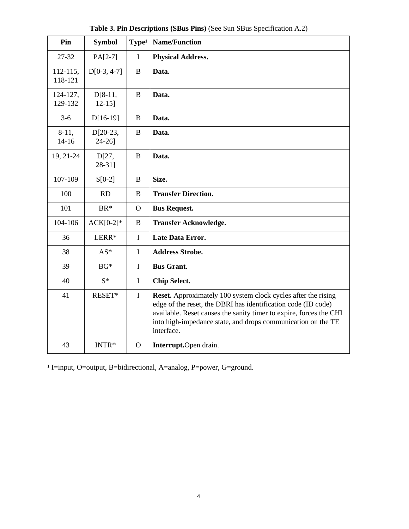| Pin                  | <b>Symbol</b>            | Type <sup>1</sup> | <b>Name/Function</b>                                                                                                                                                                                                                                                                      |
|----------------------|--------------------------|-------------------|-------------------------------------------------------------------------------------------------------------------------------------------------------------------------------------------------------------------------------------------------------------------------------------------|
| 27-32                | $PA[2-7]$                | I                 | <b>Physical Address.</b>                                                                                                                                                                                                                                                                  |
| 112-115,<br>118-121  | $D[0-3, 4-7]$            | $\bf{B}$          | Data.                                                                                                                                                                                                                                                                                     |
| 124-127,<br>129-132  | $D[8-11,$<br>$12 - 15$ ] | B                 | Data.                                                                                                                                                                                                                                                                                     |
| $3-6$                | $D[16-19]$               | $\bf{B}$          | Data.                                                                                                                                                                                                                                                                                     |
| $8-11,$<br>$14 - 16$ | $D[20-23,$<br>$24-26$ ]  | $\bf{B}$          | Data.                                                                                                                                                                                                                                                                                     |
| 19, 21-24            | D[27,<br>$28-31$ ]       | $\bf{B}$          | Data.                                                                                                                                                                                                                                                                                     |
| 107-109              | $S[0-2]$                 | B                 | Size.                                                                                                                                                                                                                                                                                     |
| 100                  | RD                       | B                 | <b>Transfer Direction.</b>                                                                                                                                                                                                                                                                |
| 101                  | BR*                      | $\Omega$          | <b>Bus Request.</b>                                                                                                                                                                                                                                                                       |
| 104-106              | $ACK[0-2]*$              | B                 | <b>Transfer Acknowledge.</b>                                                                                                                                                                                                                                                              |
| 36                   | LERR*                    | $\mathbf I$       | <b>Late Data Error.</b>                                                                                                                                                                                                                                                                   |
| 38                   | AS*                      | I                 | <b>Address Strobe.</b>                                                                                                                                                                                                                                                                    |
| 39                   | $BG*$                    | $\mathbf I$       | <b>Bus Grant.</b>                                                                                                                                                                                                                                                                         |
| 40                   | $S^*$                    | $\mathbf I$       | <b>Chip Select.</b>                                                                                                                                                                                                                                                                       |
| 41                   | RESET*                   | $\mathbf I$       | <b>Reset.</b> Approximately 100 system clock cycles after the rising<br>edge of the reset, the DBRI has identification code (ID code)<br>available. Reset causes the sanity timer to expire, forces the CHI<br>into high-impedance state, and drops communication on the TE<br>interface. |
| 43                   | INTR*                    | $\mathbf{O}$      | Interrupt.Open drain.                                                                                                                                                                                                                                                                     |

**Table 3. Pin Descriptions (SBus Pins)** (See Sun SBus Specification A.2)

<sup>1</sup> I=input, O=output, B=bidirectional, A=analog, P=power, G=ground.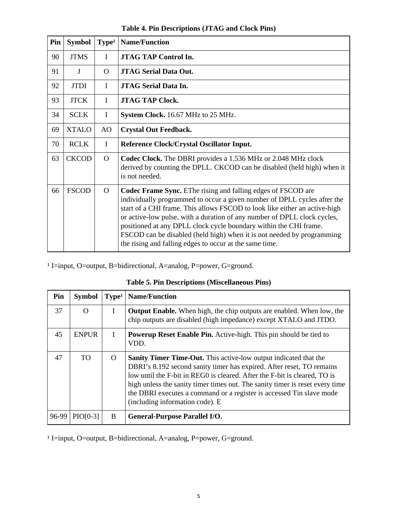| Pin | <b>Symbol</b> | Type <sup>1</sup> | <b>Name/Function</b>                                                                                                                                                                                                                                                                                                                                                                                                                                                                                         |
|-----|---------------|-------------------|--------------------------------------------------------------------------------------------------------------------------------------------------------------------------------------------------------------------------------------------------------------------------------------------------------------------------------------------------------------------------------------------------------------------------------------------------------------------------------------------------------------|
| 90  | <b>JTMS</b>   | $\bf{I}$          | <b>JTAG TAP Control In.</b>                                                                                                                                                                                                                                                                                                                                                                                                                                                                                  |
| 91  | J             | $\Omega$          | <b>JTAG Serial Data Out.</b>                                                                                                                                                                                                                                                                                                                                                                                                                                                                                 |
| 92  | <b>JTDI</b>   | $\bf{I}$          | <b>JTAG Serial Data In.</b>                                                                                                                                                                                                                                                                                                                                                                                                                                                                                  |
| 93  | <b>JTCK</b>   | $\mathbf I$       | <b>JTAG TAP Clock.</b>                                                                                                                                                                                                                                                                                                                                                                                                                                                                                       |
| 34  | <b>SCLK</b>   | $\mathbf I$       | System Clock. 16.67 MHz to 25 MHz.                                                                                                                                                                                                                                                                                                                                                                                                                                                                           |
| 69  | <b>XTALO</b>  | AO                | <b>Crystal Out Feedback.</b>                                                                                                                                                                                                                                                                                                                                                                                                                                                                                 |
| 70  | <b>RCLK</b>   | $\bf{I}$          | Reference Clock/Crystal Oscillator Input.                                                                                                                                                                                                                                                                                                                                                                                                                                                                    |
| 63  | <b>CKCOD</b>  | $\Omega$          | <b>Codec Clock.</b> The DBRI provides a 1.536 MHz or 2.048 MHz clock<br>derived by counting the DPLL. CKCOD can be disabled (held high) when it<br>is not needed.                                                                                                                                                                                                                                                                                                                                            |
| 66  | <b>FSCOD</b>  | $\Omega$          | Codec Frame Sync. EThe rising and falling edges of FSCOD are<br>individually programmed to occur a given number of DPLL cycles after the<br>start of a CHI frame. This allows FSCOD to look like either an active-high<br>or active-low pulse, with a duration of any number of DPLL clock cycles,<br>positioned at any DPLL clock cycle boundary within the CHI frame.<br>FSCOD can be disabled (held high) when it is not needed by programming<br>the rising and falling edges to occur at the same time. |

**Table 4. Pin Descriptions (JTAG and Clock Pins)**

<sup>1</sup> I=input, O=output, B=bidirectional, A=analog, P=power, G=ground.

| Pin   | <b>Symbol</b>   | Type <sup>1</sup> | <b>Name/Function</b>                                                                                                                                                                                                                                                                                                                                                                                                     |
|-------|-----------------|-------------------|--------------------------------------------------------------------------------------------------------------------------------------------------------------------------------------------------------------------------------------------------------------------------------------------------------------------------------------------------------------------------------------------------------------------------|
| 37    | $\Omega$        | I                 | <b>Output Enable.</b> When high, the chip outputs are enabled. When low, the<br>chip outputs are disabled (high impedance) except XTALO and JTDO.                                                                                                                                                                                                                                                                        |
| 45    | <b>ENPUR</b>    | L                 | <b>Powerup Reset Enable Pin.</b> Active-high. This pin should be tied to<br>VDD.                                                                                                                                                                                                                                                                                                                                         |
| 47    | <b>TO</b>       | $\Omega$          | <b>Sanity Timer Time-Out.</b> This active-low output indicated that the<br>DBRI's 8.192 second sanity timer has expired. After reset, TO remains<br>low until the F-bit in REG0 is cleared. After the F-bit is cleared, TO is<br>high unless the sanity timer times out. The sanity timer is reset every time<br>the DBRI executes a command or a register is accessed Tin slave mode<br>(including information code). E |
| 96-99 | <b>PIO[0-3]</b> | B                 | <b>General-Purpose Parallel I/O.</b>                                                                                                                                                                                                                                                                                                                                                                                     |

<sup>1</sup> I=input, O=output, B=bidirectional, A=analog, P=power, G=ground.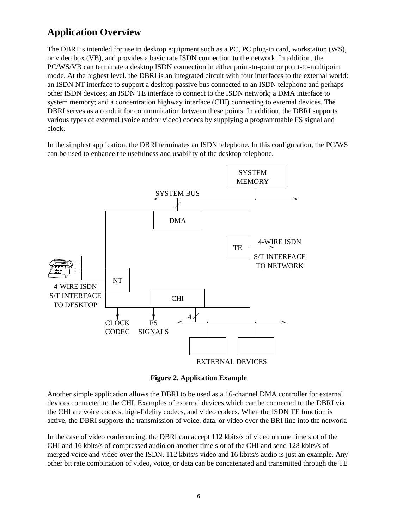# **Application Overview**

The DBRI is intended for use in desktop equipment such as a PC, PC plug-in card, workstation (WS), or video box (VB), and provides a basic rate ISDN connection to the network. In addition, the PC/WS/VB can terminate a desktop ISDN connection in either point-to-point or point-to-multipoint mode. At the highest level, the DBRI is an integrated circuit with four interfaces to the external world: an ISDN NT interface to support a desktop passive bus connected to an ISDN telephone and perhaps other ISDN devices; an ISDN TE interface to connect to the ISDN network; a DMA interface to system memory; and a concentration highway interface (CHI) connecting to external devices. The DBRI serves as a conduit for communication between these points. In addition, the DBRI supports various types of external (voice and/or video) codecs by supplying a programmable FS signal and clock.

In the simplest application, the DBRI terminates an ISDN telephone. In this configuration, the PC/WS can be used to enhance the usefulness and usability of the desktop telephone.



**Figure 2. Application Example**

Another simple application allows the DBRI to be used as a 16-channel DMA controller for external devices connected to the CHI. Examples of external devices which can be connected to the DBRI via the CHI are voice codecs, high-fidelity codecs, and video codecs. When the ISDN TE function is active, the DBRI supports the transmission of voice, data, or video over the BRI line into the network.

In the case of video conferencing, the DBRI can accept 112 kbits/s of video on one time slot of the CHI and 16 kbits/s of compressed audio on another time slot of the CHI and send 128 kbits/s of merged voice and video over the ISDN. 112 kbits/s video and 16 kbits/s audio is just an example. Any other bit rate combination of video, voice, or data can be concatenated and transmitted through the TE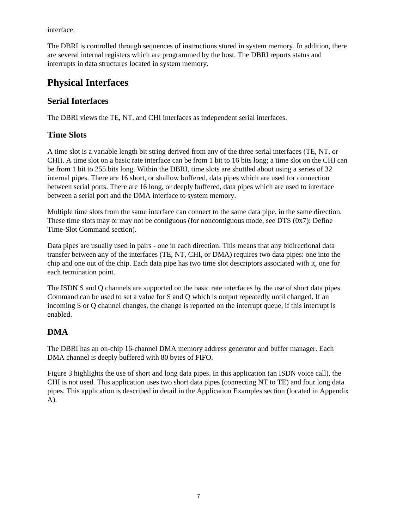interface.

The DBRI is controlled through sequences of instructions stored in system memory. In addition, there are several internal registers which are programmed by the host. The DBRI reports status and interrupts in data structures located in system memory.

# **Physical Interfaces**

## **Serial Interfaces**

The DBRI views the TE, NT, and CHI interfaces as independent serial interfaces.

## **Time Slots**

A time slot is a variable length bit string derived from any of the three serial interfaces (TE, NT, or CHI). A time slot on a basic rate interface can be from 1 bit to 16 bits long; a time slot on the CHI can be from 1 bit to 255 bits long. Within the DBRI, time slots are shuttled about using a series of 32 internal pipes. There are 16 short, or shallow buffered, data pipes which are used for connection between serial ports. There are 16 long, or deeply buffered, data pipes which are used to interface between a serial port and the DMA interface to system memory.

Multiple time slots from the same interface can connect to the same data pipe, in the same direction. These time slots may or may not be contiguous (for noncontiguous mode, see DTS (0x7): Define Time-Slot Command section).

Data pipes are usually used in pairs - one in each direction. This means that any bidirectional data transfer between any of the interfaces (TE, NT, CHI, or DMA) requires two data pipes: one into the chip and one out of the chip. Each data pipe has two time slot descriptors associated with it, one for each termination point.

The ISDN S and Q channels are supported on the basic rate interfaces by the use of short data pipes. Command can be used to set a value for S and Q which is output repeatedly until changed. If an incoming S or Q channel changes, the change is reported on the interrupt queue, if this interrupt is enabled.

# **DMA**

The DBRI has an on-chip 16-channel DMA memory address generator and buffer manager. Each DMA channel is deeply buffered with 80 bytes of FIFO.

Figure 3 highlights the use of short and long data pipes. In this application (an ISDN voice call), the CHI is not used. This application uses two short data pipes (connecting NT to TE) and four long data pipes. This application is described in detail in the Application Examples section (located in Appendix A).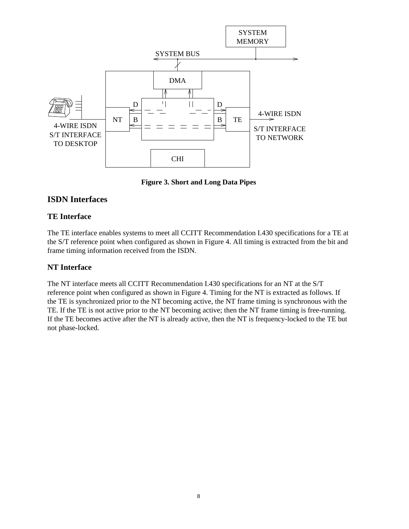

**Figure 3. Short and Long Data Pipes**

### **ISDN Interfaces**

### **TE Interface**

The TE interface enables systems to meet all CCITT Recommendation I.430 specifications for a TE at the S/T reference point when configured as shown in Figure 4. All timing is extracted from the bit and frame timing information received from the ISDN.

### **NT Interface**

The NT interface meets all CCITT Recommendation I.430 specifications for an NT at the S/T reference point when configured as shown in Figure 4. Timing for the NT is extracted as follows. If the TE is synchronized prior to the NT becoming active, the NT frame timing is synchronous with the TE. If the TE is not active prior to the NT becoming active; then the NT frame timing is free-running. If the TE becomes active after the NT is already active, then the NT is frequency-locked to the TE but not phase-locked.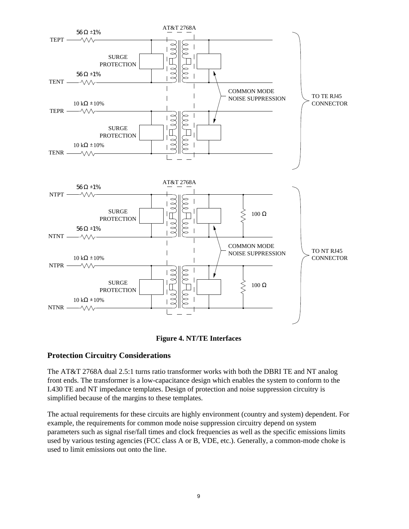



### **Protection Circuitry Considerations**

The AT&T 2768A dual 2.5:1 turns ratio transformer works with both the DBRI TE and NT analog front ends. The transformer is a low-capacitance design which enables the system to conform to the I.430 TE and NT impedance templates. Design of protection and noise suppression circuitry is simplified because of the margins to these templates.

The actual requirements for these circuits are highly environment (country and system) dependent. For example, the requirements for common mode noise suppression circuitry depend on system parameters such as signal rise/fall times and clock frequencies as well as the specific emissions limits used by various testing agencies (FCC class A or B, VDE, etc.). Generally, a common-mode choke is used to limit emissions out onto the line.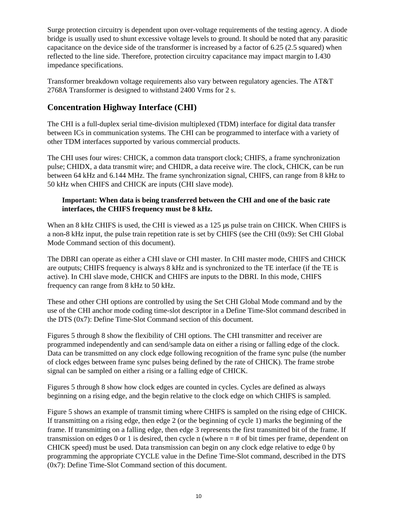Surge protection circuitry is dependent upon over-voltage requirements of the testing agency. A diode bridge is usually used to shunt excessive voltage levels to ground. It should be noted that any parasitic capacitance on the device side of the transformer is increased by a factor of 6.25 (2.5 squared) when reflected to the line side. Therefore, protection circuitry capacitance may impact margin to I.430 impedance specifications.

Transformer breakdown voltage requirements also vary between regulatory agencies. The AT&T 2768A Transformer is designed to withstand 2400 Vrms for 2 s.

## **Concentration Highway Interface (CHI)**

The CHI is a full-duplex serial time-division multiplexed (TDM) interface for digital data transfer between ICs in communication systems. The CHI can be programmed to interface with a variety of other TDM interfaces supported by various commercial products.

The CHI uses four wires: CHICK, a common data transport clock; CHIFS, a frame synchronization pulse; CHIDX, a data transmit wire; and CHIDR, a data receive wire. The clock, CHICK, can be run between 64 kHz and 6.144 MHz. The frame synchronization signal, CHIFS, can range from 8 kHz to 50 kHz when CHIFS and CHICK are inputs (CHI slave mode).

#### **Important: When data is being transferred between the CHI and one of the basic rate interfaces, the CHIFS frequency must be 8 kHz.**

When an 8 kHz CHIFS is used, the CHI is viewed as a 125 us pulse train on CHICK. When CHIFS is a non-8 kHz input, the pulse train repetition rate is set by CHIFS (see the CHI (0x9): Set CHI Global Mode Command section of this document).

The DBRI can operate as either a CHI slave or CHI master. In CHI master mode, CHIFS and CHICK are outputs; CHIFS frequency is always 8 kHz and is synchronized to the TE interface (if the TE is active). In CHI slave mode, CHICK and CHIFS are inputs to the DBRI. In this mode, CHIFS frequency can range from 8 kHz to 50 kHz.

These and other CHI options are controlled by using the Set CHI Global Mode command and by the use of the CHI anchor mode coding time-slot descriptor in a Define Time-Slot command described in the DTS (0x7): Define Time-Slot Command section of this document.

Figures 5 through 8 show the flexibility of CHI options. The CHI transmitter and receiver are programmed independently and can send/sample data on either a rising or falling edge of the clock. Data can be transmitted on any clock edge following recognition of the frame sync pulse (the number of clock edges between frame sync pulses being defined by the rate of CHICK). The frame strobe signal can be sampled on either a rising or a falling edge of CHICK.

Figures 5 through 8 show how clock edges are counted in cycles. Cycles are defined as always beginning on a rising edge, and the begin relative to the clock edge on which CHIFS is sampled.

Figure 5 shows an example of transmit timing where CHIFS is sampled on the rising edge of CHICK. If transmitting on a rising edge, then edge 2 (or the beginning of cycle 1) marks the beginning of the frame. If transmitting on a falling edge, then edge 3 represents the first transmitted bit of the frame. If transmission on edges 0 or 1 is desired, then cycle n (where  $n = #$  of bit times per frame, dependent on CHICK speed) must be used. Data transmission can begin on any clock edge relative to edge 0 by programming the appropriate CYCLE value in the Define Time-Slot command, described in the DTS (0x7): Define Time-Slot Command section of this document.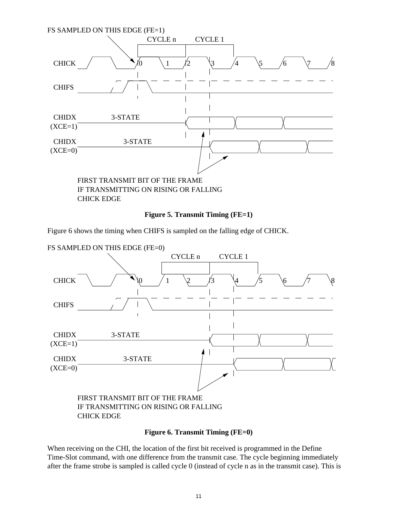

#### **Figure 5. Transmit Timing (FE=1)**

Figure 6 shows the timing when CHIFS is sampled on the falling edge of CHICK.



IF TRANSMITTING ON RISING OR FALLING CHICK EDGE

#### **Figure 6. Transmit Timing (FE=0)**

When receiving on the CHI, the location of the first bit received is programmed in the Define Time-Slot command, with one difference from the transmit case. The cycle beginning immediately after the frame strobe is sampled is called cycle 0 (instead of cycle n as in the transmit case). This is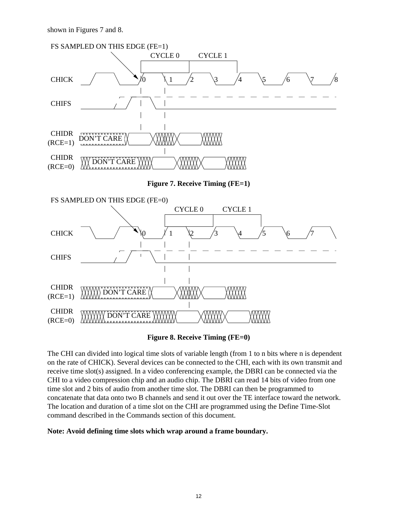shown in Figures 7 and 8.



#### **Figure 8. Receive Timing (FE=0)**

The CHI can divided into logical time slots of variable length (from 1 to n bits where n is dependent on the rate of CHICK). Several devices can be connected to the CHI, each with its own transmit and receive time slot(s) assigned. In a video conferencing example, the DBRI can be connected via the CHI to a video compression chip and an audio chip. The DBRI can read 14 bits of video from one time slot and 2 bits of audio from another time slot. The DBRI can then be programmed to concatenate that data onto two B channels and send it out over the TE interface toward the network. The location and duration of a time slot on the CHI are programmed using the Define Time-Slot command described in the Commands section of this document.

**Note: Avoid defining time slots which wrap around a frame boundary.**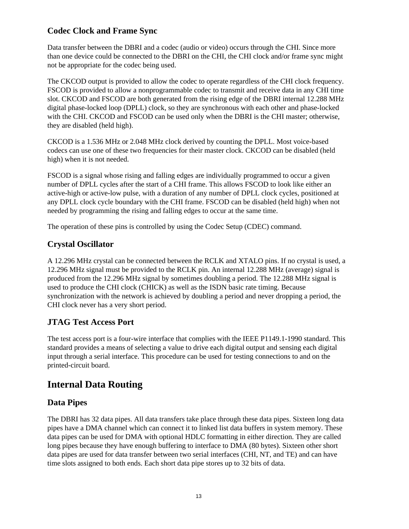## **Codec Clock and Frame Sync**

Data transfer between the DBRI and a codec (audio or video) occurs through the CHI. Since more than one device could be connected to the DBRI on the CHI, the CHI clock and/or frame sync might not be appropriate for the codec being used.

The CKCOD output is provided to allow the codec to operate regardless of the CHI clock frequency. FSCOD is provided to allow a nonprogrammable codec to transmit and receive data in any CHI time slot. CKCOD and FSCOD are both generated from the rising edge of the DBRI internal 12.288 MHz digital phase-locked loop (DPLL) clock, so they are synchronous with each other and phase-locked with the CHI. CKCOD and FSCOD can be used only when the DBRI is the CHI master; otherwise, they are disabled (held high).

CKCOD is a 1.536 MHz or 2.048 MHz clock derived by counting the DPLL. Most voice-based codecs can use one of these two frequencies for their master clock. CKCOD can be disabled (held high) when it is not needed.

FSCOD is a signal whose rising and falling edges are individually programmed to occur a given number of DPLL cycles after the start of a CHI frame. This allows FSCOD to look like either an active-high or active-low pulse, with a duration of any number of DPLL clock cycles, positioned at any DPLL clock cycle boundary with the CHI frame. FSCOD can be disabled (held high) when not needed by programming the rising and falling edges to occur at the same time.

The operation of these pins is controlled by using the Codec Setup (CDEC) command.

## **Crystal Oscillator**

A 12.296 MHz crystal can be connected between the RCLK and XTALO pins. If no crystal is used, a 12.296 MHz signal must be provided to the RCLK pin. An internal 12.288 MHz (average) signal is produced from the 12.296 MHz signal by sometimes doubling a period. The 12.288 MHz signal is used to produce the CHI clock (CHICK) as well as the ISDN basic rate timing. Because synchronization with the network is achieved by doubling a period and never dropping a period, the CHI clock never has a very short period.

## **JTAG Test Access Port**

The test access port is a four-wire interface that complies with the IEEE P1149.1-1990 standard. This standard provides a means of selecting a value to drive each digital output and sensing each digital input through a serial interface. This procedure can be used for testing connections to and on the printed-circuit board.

# **Internal Data Routing**

## **Data Pipes**

The DBRI has 32 data pipes. All data transfers take place through these data pipes. Sixteen long data pipes have a DMA channel which can connect it to linked list data buffers in system memory. These data pipes can be used for DMA with optional HDLC formatting in either direction. They are called long pipes because they have enough buffering to interface to DMA (80 bytes). Sixteen other short data pipes are used for data transfer between two serial interfaces (CHI, NT, and TE) and can have time slots assigned to both ends. Each short data pipe stores up to 32 bits of data.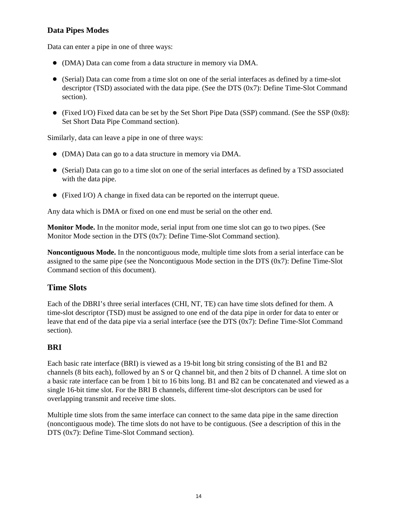### **Data Pipes Modes**

Data can enter a pipe in one of three ways:

- (DMA) Data can come from a data structure in memory via DMA.
- (Serial) Data can come from a time slot on one of the serial interfaces as defined by a time-slot descriptor (TSD) associated with the data pipe. (See the DTS (0x7): Define Time-Slot Command section).
- (Fixed I/O) Fixed data can be set by the Set Short Pipe Data (SSP) command. (See the SSP  $(0x8)$ : Set Short Data Pipe Command section).

Similarly, data can leave a pipe in one of three ways:

- (DMA) Data can go to a data structure in memory via DMA.
- (Serial) Data can go to a time slot on one of the serial interfaces as defined by a TSD associated with the data pipe.
- (Fixed I/O) A change in fixed data can be reported on the interrupt queue.

Any data which is DMA or fixed on one end must be serial on the other end.

**Monitor Mode.** In the monitor mode, serial input from one time slot can go to two pipes. (See Monitor Mode section in the DTS (0x7): Define Time-Slot Command section).

**Noncontiguous Mode.** In the noncontiguous mode, multiple time slots from a serial interface can be assigned to the same pipe (see the Noncontiguous Mode section in the DTS (0x7): Define Time-Slot Command section of this document).

### **Time Slots**

Each of the DBRI's three serial interfaces (CHI, NT, TE) can have time slots defined for them. A time-slot descriptor (TSD) must be assigned to one end of the data pipe in order for data to enter or leave that end of the data pipe via a serial interface (see the DTS  $(0x7)$ : Define Time-Slot Command section).

### **BRI**

Each basic rate interface (BRI) is viewed as a 19-bit long bit string consisting of the B1 and B2 channels (8 bits each), followed by an S or Q channel bit, and then 2 bits of D channel. A time slot on a basic rate interface can be from 1 bit to 16 bits long. B1 and B2 can be concatenated and viewed as a single 16-bit time slot. For the BRI B channels, different time-slot descriptors can be used for overlapping transmit and receive time slots.

Multiple time slots from the same interface can connect to the same data pipe in the same direction (noncontiguous mode). The time slots do not have to be contiguous. (See a description of this in the DTS (0x7): Define Time-Slot Command section).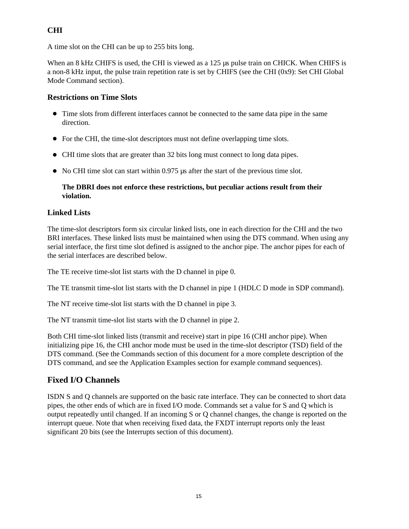### **CHI**

A time slot on the CHI can be up to 255 bits long.

When an 8 kHz CHIFS is used, the CHI is viewed as a 125 us pulse train on CHICK. When CHIFS is a non-8 kHz input, the pulse train repetition rate is set by CHIFS (see the CHI (0x9): Set CHI Global Mode Command section).

### **Restrictions on Time Slots**

- Time slots from different interfaces cannot be connected to the same data pipe in the same direction.
- For the CHI, the time-slot descriptors must not define overlapping time slots.
- CHI time slots that are greater than 32 bits long must connect to long data pipes.
- No CHI time slot can start within 0.975 us after the start of the previous time slot.

#### **The DBRI does not enforce these restrictions, but peculiar actions result from their violation.**

### **Linked Lists**

The time-slot descriptors form six circular linked lists, one in each direction for the CHI and the two BRI interfaces. These linked lists must be maintained when using the DTS command. When using any serial interface, the first time slot defined is assigned to the anchor pipe. The anchor pipes for each of the serial interfaces are described below.

The TE receive time-slot list starts with the D channel in pipe 0.

The TE transmit time-slot list starts with the D channel in pipe 1 (HDLC D mode in SDP command).

The NT receive time-slot list starts with the D channel in pipe 3.

The NT transmit time-slot list starts with the D channel in pipe 2.

Both CHI time-slot linked lists (transmit and receive) start in pipe 16 (CHI anchor pipe). When initializing pipe 16, the CHI anchor mode must be used in the time-slot descriptor (TSD) field of the DTS command. (See the Commands section of this document for a more complete description of the DTS command, and see the Application Examples section for example command sequences).

## **Fixed I/O Channels**

ISDN S and Q channels are supported on the basic rate interface. They can be connected to short data pipes, the other ends of which are in fixed I/O mode. Commands set a value for S and Q which is output repeatedly until changed. If an incoming S or Q channel changes, the change is reported on the interrupt queue. Note that when receiving fixed data, the FXDT interrupt reports only the least significant 20 bits (see the Interrupts section of this document).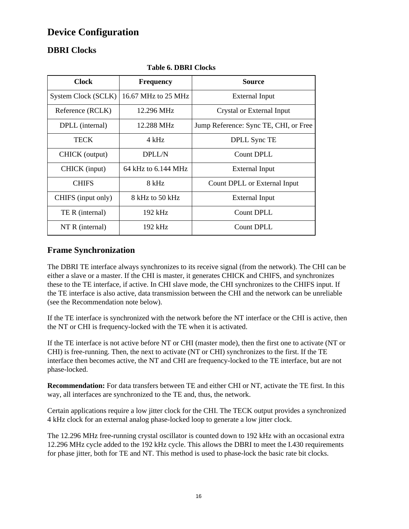# **Device Configuration**

# **DBRI Clocks**

| <b>Clock</b>        | <b>Frequency</b>    | <b>Source</b>                         |
|---------------------|---------------------|---------------------------------------|
| System Clock (SCLK) | 16.67 MHz to 25 MHz | External Input                        |
| Reference (RCLK)    | 12.296 MHz          | Crystal or External Input             |
| DPLL (internal)     | 12.288 MHz          | Jump Reference: Sync TE, CHI, or Free |
| <b>TECK</b>         | $4$ kHz             | DPLL Sync TE                          |
| CHICK (output)      | <b>DPLL/N</b>       | Count DPLL                            |
| CHICK (input)       | 64 kHz to 6.144 MHz | External Input                        |
| <b>CHIFS</b>        | 8 kHz               | Count DPLL or External Input          |
| CHIFS (input only)  | 8 kHz to 50 kHz     | <b>External Input</b>                 |
| TE R (internal)     | $192$ kHz           | Count DPLL                            |
| $NTR$ (internal)    | $192$ kHz           | Count DPLL                            |

**Table 6. DBRI Clocks**

## **Frame Synchronization**

The DBRI TE interface always synchronizes to its receive signal (from the network). The CHI can be either a slave or a master. If the CHI is master, it generates CHICK and CHIFS, and synchronizes these to the TE interface, if active. In CHI slave mode, the CHI synchronizes to the CHIFS input. If the TE interface is also active, data transmission between the CHI and the network can be unreliable (see the Recommendation note below).

If the TE interface is synchronized with the network before the NT interface or the CHI is active, then the NT or CHI is frequency-locked with the TE when it is activated.

If the TE interface is not active before NT or CHI (master mode), then the first one to activate (NT or CHI) is free-running. Then, the next to activate (NT or CHI) synchronizes to the first. If the TE interface then becomes active, the NT and CHI are frequency-locked to the TE interface, but are not phase-locked.

**Recommendation:** For data transfers between TE and either CHI or NT, activate the TE first. In this way, all interfaces are synchronized to the TE and, thus, the network.

Certain applications require a low jitter clock for the CHI. The TECK output provides a synchronized 4 kHz clock for an external analog phase-locked loop to generate a low jitter clock.

The 12.296 MHz free-running crystal oscillator is counted down to 192 kHz with an occasional extra 12.296 MHz cycle added to the 192 kHz cycle. This allows the DBRI to meet the I.430 requirements for phase jitter, both for TE and NT. This method is used to phase-lock the basic rate bit clocks.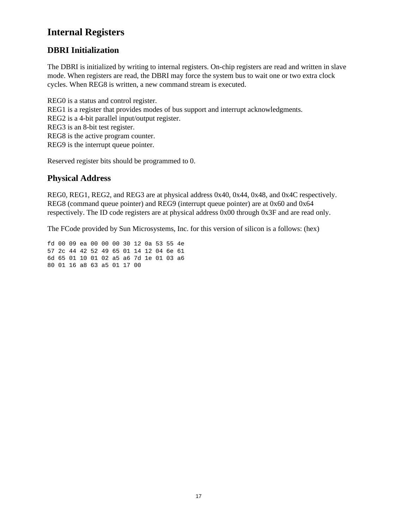# **Internal Registers**

## **DBRI Initialization**

The DBRI is initialized by writing to internal registers. On-chip registers are read and written in slave mode. When registers are read, the DBRI may force the system bus to wait one or two extra clock cycles. When REG8 is written, a new command stream is executed.

REG0 is a status and control register. REG1 is a register that provides modes of bus support and interrupt acknowledgments. REG2 is a 4-bit parallel input/output register. REG3 is an 8-bit test register. REG8 is the active program counter. REG9 is the interrupt queue pointer.

Reserved register bits should be programmed to 0.

### **Physical Address**

REG0, REG1, REG2, and REG3 are at physical address 0x40, 0x44, 0x48, and 0x4C respectively. REG8 (command queue pointer) and REG9 (interrupt queue pointer) are at 0x60 and 0x64 respectively. The ID code registers are at physical address 0x00 through 0x3F and are read only.

The FCode provided by Sun Microsystems, Inc. for this version of silicon is a follows: (hex)

fd 00 09 ea 00 00 00 30 12 0a 53 55 4e 57 2c 44 42 52 49 65 01 14 12 04 6e 61 6d 65 01 10 01 02 a5 a6 7d 1e 01 03 a6 80 01 16 a8 63 a5 01 17 00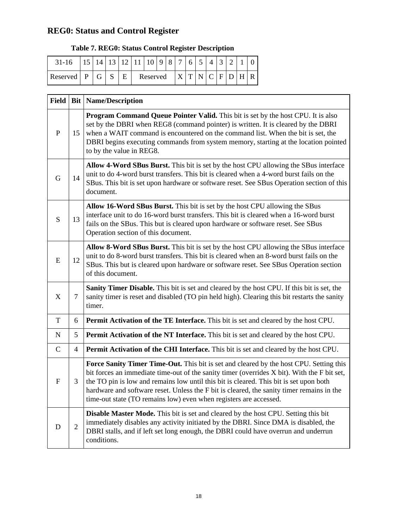# **REG0: Status and Control Register**

## **Table 7. REG0: Status Control Register Description**

| $31 - 16$ |   | 14 | 13 <sub>1</sub> |   | $12$   11 | $\pm 10 +$ | $\overline{9}$ | $8^+$ | $\tau$ | 6   | 5<br>ັ | $\Delta$ | $\mathbf{z}$ | $\bigcap$ |   |   |
|-----------|---|----|-----------------|---|-----------|------------|----------------|-------|--------|-----|--------|----------|--------------|-----------|---|---|
| Reserved  | D | G  |                 | E | Reserved  |            |                |       |        | X T |        |          |              | N C F D   | H | R |

| <b>Field</b> |                | <b>Bit   Name/Description</b>                                                                                                                                                                                                                                                                                                                                                                                                                     |
|--------------|----------------|---------------------------------------------------------------------------------------------------------------------------------------------------------------------------------------------------------------------------------------------------------------------------------------------------------------------------------------------------------------------------------------------------------------------------------------------------|
| P            | 15             | <b>Program Command Queue Pointer Valid.</b> This bit is set by the host CPU. It is also<br>set by the DBRI when REG8 (command pointer) is written. It is cleared by the DBRI<br>when a WAIT command is encountered on the command list. When the bit is set, the<br>DBRI begins executing commands from system memory, starting at the location pointed<br>to by the value in REG8.                                                               |
| G            | 14             | Allow 4-Word SBus Burst. This bit is set by the host CPU allowing the SBus interface<br>unit to do 4-word burst transfers. This bit is cleared when a 4-word burst fails on the<br>SBus. This bit is set upon hardware or software reset. See SBus Operation section of this<br>document.                                                                                                                                                         |
| S            | 13             | Allow 16-Word SBus Burst. This bit is set by the host CPU allowing the SBus<br>interface unit to do 16-word burst transfers. This bit is cleared when a 16-word burst<br>fails on the SBus. This but is cleared upon hardware or software reset. See SBus<br>Operation section of this document.                                                                                                                                                  |
| E            | 12             | Allow 8-Word SBus Burst. This bit is set by the host CPU allowing the SBus interface<br>unit to do 8-word burst transfers. This bit is cleared when an 8-word burst fails on the<br>SBus. This but is cleared upon hardware or software reset. See SBus Operation section<br>of this document.                                                                                                                                                    |
| X            | 7              | Sanity Timer Disable. This bit is set and cleared by the host CPU. If this bit is set, the<br>sanity timer is reset and disabled (TO pin held high). Clearing this bit restarts the sanity<br>timer.                                                                                                                                                                                                                                              |
| T            | 6              | Permit Activation of the TE Interface. This bit is set and cleared by the host CPU.                                                                                                                                                                                                                                                                                                                                                               |
| $\mathbf N$  | 5              | Permit Activation of the NT Interface. This bit is set and cleared by the host CPU.                                                                                                                                                                                                                                                                                                                                                               |
| $\mathbf C$  | $\overline{4}$ | <b>Permit Activation of the CHI Interface.</b> This bit is set and cleared by the host CPU.                                                                                                                                                                                                                                                                                                                                                       |
| F            | 3              | Force Sanity Timer Time-Out. This bit is set and cleared by the host CPU. Setting this<br>bit forces an immediate time-out of the sanity timer (overrides X bit). With the F bit set,<br>the TO pin is low and remains low until this bit is cleared. This bit is set upon both<br>hardware and software reset. Unless the F bit is cleared, the sanity timer remains in the<br>time-out state (TO remains low) even when registers are accessed. |
| D            | $\overline{2}$ | Disable Master Mode. This bit is set and cleared by the host CPU. Setting this bit<br>immediately disables any activity initiated by the DBRI. Since DMA is disabled, the<br>DBRI stalls, and if left set long enough, the DBRI could have overrun and underrun<br>conditions.                                                                                                                                                                    |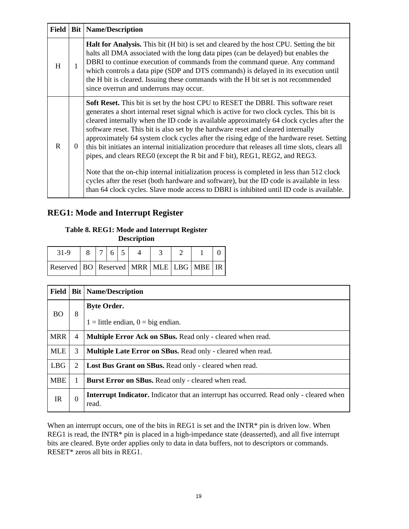| Field |          | <b>Bit   Name/Description</b>                                                                                                                                                                                                                                                                                                                                                                                                                                                                                                                                                                                                                                                                                                                                                                                                                                                                                                                |
|-------|----------|----------------------------------------------------------------------------------------------------------------------------------------------------------------------------------------------------------------------------------------------------------------------------------------------------------------------------------------------------------------------------------------------------------------------------------------------------------------------------------------------------------------------------------------------------------------------------------------------------------------------------------------------------------------------------------------------------------------------------------------------------------------------------------------------------------------------------------------------------------------------------------------------------------------------------------------------|
| H     | 1        | <b>Halt for Analysis.</b> This bit (H bit) is set and cleared by the host CPU. Setting the bit<br>halts all DMA associated with the long data pipes (can be delayed) but enables the<br>DBRI to continue execution of commands from the command queue. Any command<br>which controls a data pipe (SDP and DTS commands) is delayed in its execution until<br>the H bit is cleared. Issuing these commands with the H bit set is not recommended<br>since overrun and underruns may occur.                                                                                                                                                                                                                                                                                                                                                                                                                                                    |
| R     | $\theta$ | <b>Soft Reset.</b> This bit is set by the host CPU to RESET the DBRI. This software reset<br>generates a short internal reset signal which is active for two clock cycles. This bit is<br>cleared internally when the ID code is available approximately 64 clock cycles after the<br>software reset. This bit is also set by the hardware reset and cleared internally<br>approximately 64 system clock cycles after the rising edge of the hardware reset. Setting<br>this bit initiates an internal initialization procedure that releases all time slots, clears all<br>pipes, and clears REGO (except the R bit and F bit), REG1, REG2, and REG3.<br>Note that the on-chip internal initialization process is completed in less than 512 clock<br>cycles after the reset (both hardware and software), but the ID code is available in less<br>than 64 clock cycles. Slave mode access to DBRI is inhibited until ID code is available. |

## **REG1: Mode and Interrupt Register**

# **Table 8. REG1: Mode and Interrupt Register**

**Description**

| 31-9                                                  | 76 |  |  |  |  |
|-------------------------------------------------------|----|--|--|--|--|
| Reserved   BO   Reserved   MRR   MLE   LBG   MBE   IR |    |  |  |  |  |

| Field      |                | <b>Bit   Name/Description</b>                                                                           |
|------------|----------------|---------------------------------------------------------------------------------------------------------|
| <b>BO</b>  | 8              | <b>Byte Order.</b>                                                                                      |
|            |                | $1 =$ little endian, $0 =$ big endian.                                                                  |
| <b>MRR</b> | $\overline{4}$ | Multiple Error Ack on SBus. Read only - cleared when read.                                              |
| <b>MLE</b> | 3              | Multiple Late Error on SBus. Read only - cleared when read.                                             |
| <b>LBG</b> | 2              | Lost Bus Grant on SBus. Read only - cleared when read.                                                  |
| <b>MBE</b> | 1              | Burst Error on SBus. Read only - cleared when read.                                                     |
| <b>IR</b>  | $\Omega$       | <b>Interrupt Indicator.</b> Indicator that an interrupt has occurred. Read only - cleared when<br>read. |

When an interrupt occurs, one of the bits in REG1 is set and the INTR\* pin is driven low. When REG1 is read, the INTR\* pin is placed in a high-impedance state (deasserted), and all five interrupt bits are cleared. Byte order applies only to data in data buffers, not to descriptors or commands. RESET\* zeros all bits in REG1.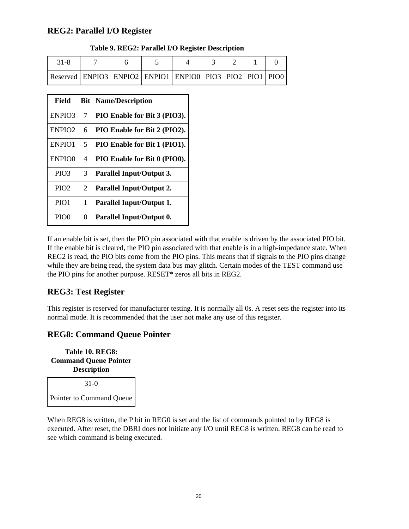### **REG2: Parallel I/O Register**

| $31 - 8$                                                                 |  |  |  |  |
|--------------------------------------------------------------------------|--|--|--|--|
| Reserved   ENPIO3   ENPIO2   ENPIO1   ENPIO0   PIO3   PIO2   PIO1   PIO0 |  |  |  |  |

| <b>Field</b>       | <b>Bit</b>     | <b>Name/Description</b>         |
|--------------------|----------------|---------------------------------|
| ENPIO3             | 7              | PIO Enable for Bit 3 (PIO3).    |
| ENPIO <sub>2</sub> | 6              | PIO Enable for Bit 2 (PIO2).    |
| ENPIO1             | 5              | PIO Enable for Bit 1 (PIO1).    |
| ENPIO0             | 4              | PIO Enable for Bit 0 (PIO0).    |
| PIO <sub>3</sub>   | 3              | Parallel Input/Output 3.        |
| PIO2               | $\mathfrak{D}$ | <b>Parallel Input/Output 2.</b> |
| PIO1               | 1              | <b>Parallel Input/Output 1.</b> |
| PIO <sub>0</sub>   | 0              | Parallel Input/Output 0.        |

If an enable bit is set, then the PIO pin associated with that enable is driven by the associated PIO bit. If the enable bit is cleared, the PIO pin associated with that enable is in a high-impedance state. When REG2 is read, the PIO bits come from the PIO pins. This means that if signals to the PIO pins change while they are being read, the system data bus may glitch. Certain modes of the TEST command use the PIO pins for another purpose. RESET\* zeros all bits in REG2.

### **REG3: Test Register**

This register is reserved for manufacturer testing. It is normally all 0s. A reset sets the register into its normal mode. It is recommended that the user not make any use of this register.

### **REG8: Command Queue Pointer**

**Table 10. REG8: Command Queue Pointer Description**

| $31-0$                          |
|---------------------------------|
| <b>Pointer to Command Queue</b> |

When REG8 is written, the P bit in REG0 is set and the list of commands pointed to by REG8 is executed. After reset, the DBRI does not initiate any I/O until REG8 is written. REG8 can be read to see which command is being executed.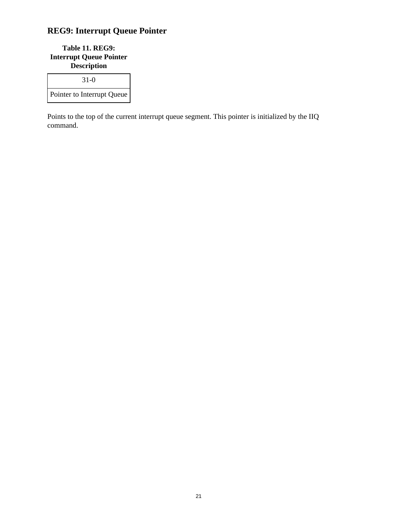# **REG9: Interrupt Queue Pointer**

**Table 11. REG9: Interrupt Queue Pointer Description**

| $31-0$                     |
|----------------------------|
| Pointer to Interrupt Queue |

Points to the top of the current interrupt queue segment. This pointer is initialized by the IIQ command.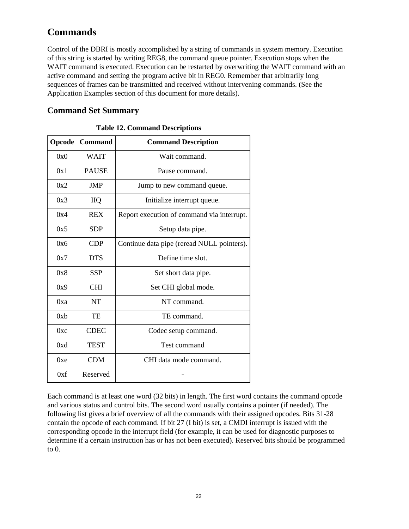# **Commands**

Control of the DBRI is mostly accomplished by a string of commands in system memory. Execution of this string is started by writing REG8, the command queue pointer. Execution stops when the WAIT command is executed. Execution can be restarted by overwriting the WAIT command with an active command and setting the program active bit in REG0. Remember that arbitrarily long sequences of frames can be transmitted and received without intervening commands. (See the Application Examples section of this document for more details).

## **Command Set Summary**

| Opcode          | <b>Command</b> | <b>Command Description</b>                 |
|-----------------|----------------|--------------------------------------------|
| 0x0             | WAIT           | Wait command.                              |
| 0x1             | <b>PAUSE</b>   | Pause command.                             |
| 0x2             | <b>JMP</b>     | Jump to new command queue.                 |
| 0x3             | <b>IIQ</b>     | Initialize interrupt queue.                |
| 0x4             | <b>REX</b>     | Report execution of command via interrupt. |
| 0x5             | <b>SDP</b>     | Setup data pipe.                           |
| 0x6             | <b>CDP</b>     | Continue data pipe (reread NULL pointers). |
| 0x7             | <b>DTS</b>     | Define time slot.                          |
| 0x8             | <b>SSP</b>     | Set short data pipe.                       |
| 0x9             | <b>CHI</b>     | Set CHI global mode.                       |
| 0xa             | <b>NT</b>      | NT command.                                |
| 0x <sub>b</sub> | TE.            | TE command.                                |
| 0xc             | <b>CDEC</b>    | Codec setup command.                       |
| 0xd             | <b>TEST</b>    | Test command                               |
| 0xe             | <b>CDM</b>     | CHI data mode command.                     |
| 0xf             | Reserved       |                                            |

Each command is at least one word (32 bits) in length. The first word contains the command opcode and various status and control bits. The second word usually contains a pointer (if needed). The following list gives a brief overview of all the commands with their assigned opcodes. Bits 31-28 contain the opcode of each command. If bit 27 (I bit) is set, a CMDI interrupt is issued with the corresponding opcode in the interrupt field (for example, it can be used for diagnostic purposes to determine if a certain instruction has or has not been executed). Reserved bits should be programmed to 0.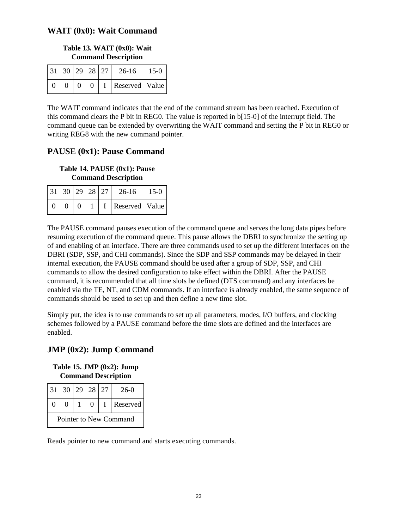### **WAIT (0x0): Wait Command**

### **Table 13. WAIT (0x0): Wait Command Description**

| 31   30   29   28   27 |          |  | $26 - 16$          | $15-0$ |
|------------------------|----------|--|--------------------|--------|
|                        | $\theta$ |  | $I$ Reserved Value |        |

The WAIT command indicates that the end of the command stream has been reached. Execution of this command clears the P bit in REG0. The value is reported in b[15-0] of the interrupt field. The command queue can be extended by overwriting the WAIT command and setting the P bit in REG0 or writing REG8 with the new command pointer.

### **PAUSE (0x1): Pause Command**

**Table 14. PAUSE (0x1): Pause Command Description**

| 31   30   29   28   27 |  |  | $26-16$          | $15-0$ |
|------------------------|--|--|------------------|--------|
|                        |  |  | Reserved   Value |        |

The PAUSE command pauses execution of the command queue and serves the long data pipes before resuming execution of the command queue. This pause allows the DBRI to synchronize the setting up of and enabling of an interface. There are three commands used to set up the different interfaces on the DBRI (SDP, SSP, and CHI commands). Since the SDP and SSP commands may be delayed in their internal execution, the PAUSE command should be used after a group of SDP, SSP, and CHI commands to allow the desired configuration to take effect within the DBRI. After the PAUSE command, it is recommended that all time slots be defined (DTS command) and any interfaces be enabled via the TE, NT, and CDM commands. If an interface is already enabled, the same sequence of commands should be used to set up and then define a new time slot.

Simply put, the idea is to use commands to set up all parameters, modes, I/O buffers, and clocking schemes followed by a PAUSE command before the time slots are defined and the interfaces are enabled.

# **JMP (0x2): Jump Command**

**Table 15. JMP (0x2): Jump Command Description**

| 31 <sup>1</sup>        |  |  | 30 29 28 27 |  | $26-0$   |  |  |  |
|------------------------|--|--|-------------|--|----------|--|--|--|
| $\Omega$               |  |  | 0           |  | Reserved |  |  |  |
| Pointer to New Command |  |  |             |  |          |  |  |  |

Reads pointer to new command and starts executing commands.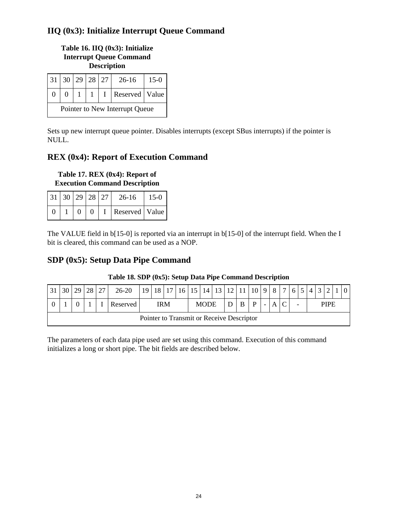# **IIQ (0x3): Initialize Interrupt Queue Command**

### **Table 16. IIQ (0x3): Initialize Interrupt Queue Command Description**

| 31 30                          |  | 29 28 27 |  | $26-16$          | $15-0$ |  |  |
|--------------------------------|--|----------|--|------------------|--------|--|--|
|                                |  |          |  | Reserved   Value |        |  |  |
| Pointer to New Interrupt Queue |  |          |  |                  |        |  |  |

Sets up new interrupt queue pointer. Disables interrupts (except SBus interrupts) if the pointer is NULL.

## **REX (0x4): Report of Execution Command**

**Table 17. REX (0x4): Report of Execution Command Description**

| 31   30   29   28   27 |  |          | 26-16            | $15-0$ |
|------------------------|--|----------|------------------|--------|
|                        |  | $\Omega$ | Reserved   Value |        |

The VALUE field in b[15-0] is reported via an interrupt in b[15-0] of the interrupt field. When the I bit is cleared, this command can be used as a NOP.

### **SDP (0x5): Setup Data Pipe Command**

| 30                                        | າດ | 28 | $\mathcal{L}$ | $26 - 20$ | 10 | 18 <sub>1</sub> | 17 | 16 | 15 | 14          | 12 | 12 <sub>1</sub> | 10 | $\Omega$                 | $\mathbf{Q}$ | $\overline{ }$ |                          |  | $\sim$ |      |  |
|-------------------------------------------|----|----|---------------|-----------|----|-----------------|----|----|----|-------------|----|-----------------|----|--------------------------|--------------|----------------|--------------------------|--|--------|------|--|
|                                           |    |    |               | Reserved  |    | IRM             |    |    |    | <b>MODE</b> |    |                 | D  | $\overline{\phantom{0}}$ |              |                | $\overline{\phantom{0}}$ |  |        | PIPE |  |
| Pointer to Transmit or Receive Descriptor |    |    |               |           |    |                 |    |    |    |             |    |                 |    |                          |              |                |                          |  |        |      |  |

### **Table 18. SDP (0x5): Setup Data Pipe Command Description**

The parameters of each data pipe used are set using this command. Execution of this command initializes a long or short pipe. The bit fields are described below.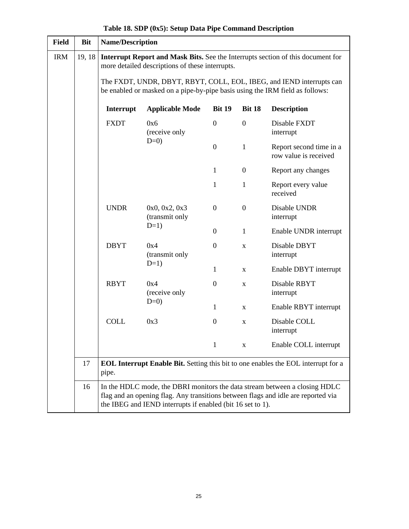| <b>Field</b> | <b>Bit</b> |             | <b>Name/Description</b>                                                      |                  |                  |                                                                                                                                                                 |  |  |  |  |  |  |  |  |
|--------------|------------|-------------|------------------------------------------------------------------------------|------------------|------------------|-----------------------------------------------------------------------------------------------------------------------------------------------------------------|--|--|--|--|--|--|--|--|
| <b>IRM</b>   | 19, 18     |             | more detailed descriptions of these interrupts.                              |                  |                  | Interrupt Report and Mask Bits. See the Interrupts section of this document for                                                                                 |  |  |  |  |  |  |  |  |
|              |            |             | be enabled or masked on a pipe-by-pipe basis using the IRM field as follows: |                  |                  | The FXDT, UNDR, DBYT, RBYT, COLL, EOL, IBEG, and IEND interrupts can                                                                                            |  |  |  |  |  |  |  |  |
|              |            | Interrupt   | <b>Applicable Mode</b>                                                       | <b>Bit 19</b>    | <b>Bit 18</b>    | <b>Description</b>                                                                                                                                              |  |  |  |  |  |  |  |  |
|              |            | <b>FXDT</b> | 0x6<br>(receive only                                                         | $\mathbf{0}$     | $\overline{0}$   | Disable FXDT<br>interrupt                                                                                                                                       |  |  |  |  |  |  |  |  |
|              |            |             | $D=0$                                                                        | $\mathbf{0}$     | $\mathbf{1}$     | Report second time in a<br>row value is received                                                                                                                |  |  |  |  |  |  |  |  |
|              |            |             |                                                                              | 1                | $\boldsymbol{0}$ | Report any changes                                                                                                                                              |  |  |  |  |  |  |  |  |
|              |            |             |                                                                              | 1                | 1                | Report every value<br>received                                                                                                                                  |  |  |  |  |  |  |  |  |
|              |            | <b>UNDR</b> | 0x0, 0x2, 0x3<br>(transmit only                                              | $\overline{0}$   | $\overline{0}$   | Disable UNDR<br>interrupt                                                                                                                                       |  |  |  |  |  |  |  |  |
|              |            |             | $D=1$ )                                                                      | $\boldsymbol{0}$ | $\mathbf{1}$     | Enable UNDR interrupt                                                                                                                                           |  |  |  |  |  |  |  |  |
|              |            | <b>DBYT</b> | 0x4<br>(transmit only                                                        | $\mathbf{0}$     | X                | Disable DBYT<br>interrupt                                                                                                                                       |  |  |  |  |  |  |  |  |
|              |            |             | $D=1$ )                                                                      | $\mathbf{1}$     | X                | Enable DBYT interrupt                                                                                                                                           |  |  |  |  |  |  |  |  |
|              |            | <b>RBYT</b> | 0x4<br>(receive only                                                         | $\mathbf{0}$     | X                | Disable RBYT<br>interrupt                                                                                                                                       |  |  |  |  |  |  |  |  |
|              |            |             | $D=0$                                                                        | $\mathbf{1}$     | X                | Enable RBYT interrupt                                                                                                                                           |  |  |  |  |  |  |  |  |
|              |            | <b>COLL</b> | 0x3                                                                          | $\overline{0}$   | X                | Disable COLL<br>interrupt                                                                                                                                       |  |  |  |  |  |  |  |  |
|              |            |             |                                                                              | $\mathbf{1}$     | X                | Enable COLL interrupt                                                                                                                                           |  |  |  |  |  |  |  |  |
|              | 17         | pipe.       |                                                                              |                  |                  | <b>EOL Interrupt Enable Bit.</b> Setting this bit to one enables the EOL interrupt for a                                                                        |  |  |  |  |  |  |  |  |
|              | 16         |             | the IBEG and IEND interrupts if enabled (bit 16 set to 1).                   |                  |                  | In the HDLC mode, the DBRI monitors the data stream between a closing HDLC<br>flag and an opening flag. Any transitions between flags and idle are reported via |  |  |  |  |  |  |  |  |

## **Table 18. SDP (0x5): Setup Data Pipe Command Description**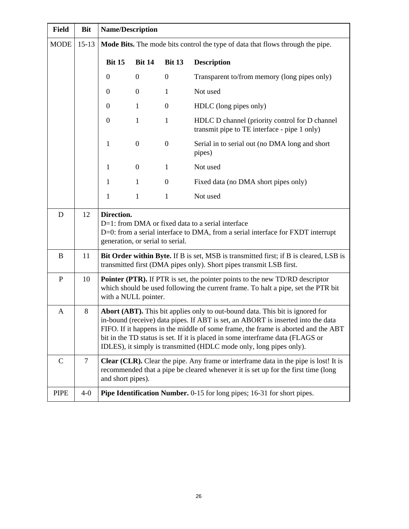| <b>Field</b>  | <b>Bit</b>     | <b>Name/Description</b>                        |                  |                  |                                                                                                                                                                                                                                                                                                                                                                                                                 |
|---------------|----------------|------------------------------------------------|------------------|------------------|-----------------------------------------------------------------------------------------------------------------------------------------------------------------------------------------------------------------------------------------------------------------------------------------------------------------------------------------------------------------------------------------------------------------|
| <b>MODE</b>   | $15 - 13$      |                                                |                  |                  | Mode Bits. The mode bits control the type of data that flows through the pipe.                                                                                                                                                                                                                                                                                                                                  |
|               |                | <b>Bit 15</b>                                  | <b>Bit 14</b>    | <b>Bit 13</b>    | <b>Description</b>                                                                                                                                                                                                                                                                                                                                                                                              |
|               |                | $\boldsymbol{0}$                               | $\boldsymbol{0}$ | $\boldsymbol{0}$ | Transparent to/from memory (long pipes only)                                                                                                                                                                                                                                                                                                                                                                    |
|               |                | $\boldsymbol{0}$                               | $\boldsymbol{0}$ | 1                | Not used                                                                                                                                                                                                                                                                                                                                                                                                        |
|               |                | $\boldsymbol{0}$                               | $\mathbf{1}$     | $\boldsymbol{0}$ | HDLC (long pipes only)                                                                                                                                                                                                                                                                                                                                                                                          |
|               |                | $\boldsymbol{0}$                               | $\mathbf{1}$     | $\mathbf{1}$     | HDLC D channel (priority control for D channel<br>transmit pipe to TE interface - pipe 1 only)                                                                                                                                                                                                                                                                                                                  |
|               |                | 1                                              | $\boldsymbol{0}$ | $\boldsymbol{0}$ | Serial in to serial out (no DMA long and short<br>pipes)                                                                                                                                                                                                                                                                                                                                                        |
|               |                | $\mathbf 1$                                    | $\boldsymbol{0}$ | $\mathbf{1}$     | Not used                                                                                                                                                                                                                                                                                                                                                                                                        |
|               |                | $\mathbf{1}$                                   | $\mathbf{1}$     | $\boldsymbol{0}$ | Fixed data (no DMA short pipes only)                                                                                                                                                                                                                                                                                                                                                                            |
|               |                | $\mathbf 1$                                    | $\mathbf{1}$     | 1                | Not used                                                                                                                                                                                                                                                                                                                                                                                                        |
| D             | 12             | Direction.<br>generation, or serial to serial. |                  |                  | D=1: from DMA or fixed data to a serial interface<br>D=0: from a serial interface to DMA, from a serial interface for FXDT interrupt                                                                                                                                                                                                                                                                            |
| B             | 11             |                                                |                  |                  | Bit Order within Byte. If B is set, MSB is transmitted first; if B is cleared, LSB is<br>transmitted first (DMA pipes only). Short pipes transmit LSB first.                                                                                                                                                                                                                                                    |
| ${\bf P}$     | 10             | with a NULL pointer.                           |                  |                  | <b>Pointer (PTR).</b> If PTR is set, the pointer points to the new TD/RD descriptor<br>which should be used following the current frame. To halt a pipe, set the PTR bit                                                                                                                                                                                                                                        |
| $\mathbf{A}$  | 8              |                                                |                  |                  | Abort (ABT). This bit applies only to out-bound data. This bit is ignored for<br>in-bound (receive) data pipes. If ABT is set, an ABORT is inserted into the data<br>FIFO. If it happens in the middle of some frame, the frame is aborted and the ABT<br>bit in the TD status is set. If it is placed in some interframe data (FLAGS or<br>IDLES), it simply is transmitted (HDLC mode only, long pipes only). |
| $\mathcal{C}$ | $\overline{7}$ | and short pipes).                              |                  |                  | <b>Clear (CLR).</b> Clear the pipe. Any frame or interframe data in the pipe is lost! It is<br>recommended that a pipe be cleared whenever it is set up for the first time (long                                                                                                                                                                                                                                |
| <b>PIPE</b>   | $4-0$          |                                                |                  |                  | Pipe Identification Number. 0-15 for long pipes; 16-31 for short pipes.                                                                                                                                                                                                                                                                                                                                         |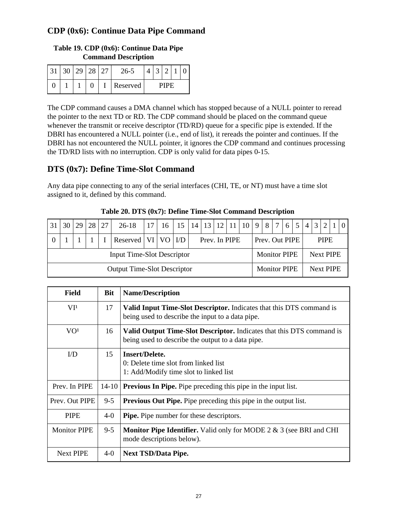## **CDP (0x6): Continue Data Pipe Command**

# **Table 19. CDP (0x6): Continue Data Pipe Command Description**

|   |  |  | $26 - 5$ |  |      |  |
|---|--|--|----------|--|------|--|
| ັ |  |  | Reserved |  | PIPF |  |

The CDP command causes a DMA channel which has stopped because of a NULL pointer to reread the pointer to the next TD or RD. The CDP command should be placed on the command queue whenever the transmit or receive descriptor (TD/RD) queue for a specific pipe is extended. If the DBRI has encountered a NULL pointer (i.e., end of list), it rereads the pointer and continues. If the DBRI has not encountered the NULL pointer, it ignores the CDP command and continues processing the TD/RD lists with no interruption. CDP is only valid for data pipes 0-15.

### **DTS (0x7): Define Time-Slot Command**

Any data pipe connecting to any of the serial interfaces (CHI, TE, or NT) must have a time slot assigned to it, defined by this command.

| . 31                                                     | 30 <sub>1</sub> | 29 |  | 28 27 | $26-18$                  |  | $\vert 17 \vert 16 \vert 15 \vert 14 \vert 13 \vert 12 \vert 11 \vert 10 \vert 9 \vert 8 \vert 7 \vert 6 \vert 5 \vert$ |  |  |  |                  |  |                     |                |  |           | 4 3 2       | $\vert 1 \vert 0$ |
|----------------------------------------------------------|-----------------|----|--|-------|--------------------------|--|-------------------------------------------------------------------------------------------------------------------------|--|--|--|------------------|--|---------------------|----------------|--|-----------|-------------|-------------------|
|                                                          |                 |    |  |       | Reserved   VI   VO   I/D |  |                                                                                                                         |  |  |  | Prev. In PIPE    |  |                     | Prev. Out PIPE |  |           | <b>PIPE</b> |                   |
| <b>Input Time-Slot Descriptor</b><br><b>Monitor PIPE</b> |                 |    |  |       |                          |  |                                                                                                                         |  |  |  | <b>Next PIPE</b> |  |                     |                |  |           |             |                   |
| <b>Output Time-Slot Descriptor</b>                       |                 |    |  |       |                          |  |                                                                                                                         |  |  |  |                  |  | <b>Monitor PIPE</b> |                |  | Next PIPE |             |                   |

**Table 20. DTS (0x7): Define Time-Slot Command Description**

| <b>Field</b>        | <b>Bit</b> | <b>Name/Description</b>                                                                                                    |
|---------------------|------------|----------------------------------------------------------------------------------------------------------------------------|
| VI <sup>1</sup>     | 17         | Valid Input Time-Slot Descriptor. Indicates that this DTS command is<br>being used to describe the input to a data pipe.   |
| VO <sup>1</sup>     | 16         | Valid Output Time-Slot Descriptor. Indicates that this DTS command is<br>being used to describe the output to a data pipe. |
| I/D                 | 15         | Insert/Delete.<br>0: Delete time slot from linked list<br>1: Add/Modify time slot to linked list                           |
| Prev. In PIPE       | 14-10      | <b>Previous In Pipe.</b> Pipe preceding this pipe in the input list.                                                       |
| Prev. Out PIPE      | $9 - 5$    | <b>Previous Out Pipe.</b> Pipe preceding this pipe in the output list.                                                     |
| <b>PIPE</b>         | $4-0$      | <b>Pipe.</b> Pipe number for these descriptors.                                                                            |
| <b>Monitor PIPE</b> | $9 - 5$    | <b>Monitor Pipe Identifier.</b> Valid only for MODE 2 $\&$ 3 (see BRI and CHI<br>mode descriptions below).                 |
| <b>Next PIPE</b>    | $4-0$      | <b>Next TSD/Data Pipe.</b>                                                                                                 |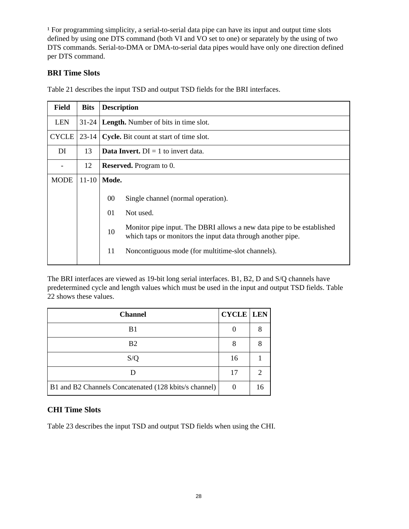<sup>1</sup> For programming simplicity, a serial-to-serial data pipe can have its input and output time slots defined by using one DTS command (both VI and VO set to one) or separately by the using of two DTS commands. Serial-to-DMA or DMA-to-serial data pipes would have only one direction defined per DTS command.

### **BRI Time Slots**

Table 21 describes the input TSD and output TSD fields for the BRI interfaces.

| <b>Field</b> | <b>Bits</b> | <b>Description</b>                                                                                                                                                                                            |
|--------------|-------------|---------------------------------------------------------------------------------------------------------------------------------------------------------------------------------------------------------------|
| <b>LEN</b>   | $31-24$     | <b>Length.</b> Number of bits in time slot.                                                                                                                                                                   |
| <b>CYCLE</b> | $23 - 14$   | Cycle. Bit count at start of time slot.                                                                                                                                                                       |
| DI           | 13          | <b>Data Invert.</b> $DI = 1$ to invert data.                                                                                                                                                                  |
|              | 12          | <b>Reserved.</b> Program to 0.                                                                                                                                                                                |
| <b>MODE</b>  | $11 - 10$   | Mode.                                                                                                                                                                                                         |
|              |             | $00\,$<br>Single channel (normal operation).<br>01<br>Not used.<br>Monitor pipe input. The DBRI allows a new data pipe to be established<br>10<br>which taps or monitors the input data through another pipe. |
|              |             | 11<br>Noncontiguous mode (for multitime-slot channels).                                                                                                                                                       |

The BRI interfaces are viewed as 19-bit long serial interfaces. B1, B2, D and S/Q channels have predetermined cycle and length values which must be used in the input and output TSD fields. Table 22 shows these values.

| <b>Channel</b>                                        | <b>CYCLE</b> LEN |    |
|-------------------------------------------------------|------------------|----|
| B1                                                    |                  |    |
| <b>B2</b>                                             | 8                |    |
| S/O                                                   | 16               |    |
|                                                       | 17               |    |
| B1 and B2 Channels Concatenated (128 kbits/s channel) |                  | 16 |

### **CHI Time Slots**

Table 23 describes the input TSD and output TSD fields when using the CHI.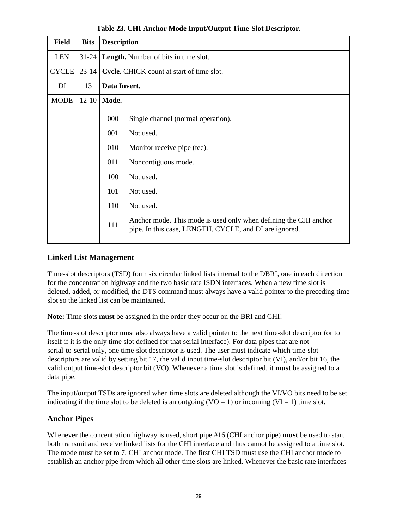| <b>Field</b> | <b>Bits</b> | <b>Description</b> |                                                                                                                            |
|--------------|-------------|--------------------|----------------------------------------------------------------------------------------------------------------------------|
| <b>LEN</b>   | $31-24$     |                    | <b>Length.</b> Number of bits in time slot.                                                                                |
| <b>CYCLE</b> | $23 - 14$   |                    | Cycle. CHICK count at start of time slot.                                                                                  |
| DI           | 13          | Data Invert.       |                                                                                                                            |
| <b>MODE</b>  | $12 - 10$   | Mode.              |                                                                                                                            |
|              |             | 000                | Single channel (normal operation).                                                                                         |
|              |             | 001                | Not used.                                                                                                                  |
|              |             | 010                | Monitor receive pipe (tee).                                                                                                |
|              |             | 011                | Noncontiguous mode.                                                                                                        |
|              |             | 100                | Not used.                                                                                                                  |
|              |             | 101                | Not used.                                                                                                                  |
|              |             | 110                | Not used.                                                                                                                  |
|              |             | 111                | Anchor mode. This mode is used only when defining the CHI anchor<br>pipe. In this case, LENGTH, CYCLE, and DI are ignored. |

**Table 23. CHI Anchor Mode Input/Output Time-Slot Descriptor.**

### **Linked List Management**

Time-slot descriptors (TSD) form six circular linked lists internal to the DBRI, one in each direction for the concentration highway and the two basic rate ISDN interfaces. When a new time slot is deleted, added, or modified, the DTS command must always have a valid pointer to the preceding time slot so the linked list can be maintained.

**Note:** Time slots **must** be assigned in the order they occur on the BRI and CHI!

The time-slot descriptor must also always have a valid pointer to the next time-slot descriptor (or to itself if it is the only time slot defined for that serial interface). For data pipes that are not serial-to-serial only, one time-slot descriptor is used. The user must indicate which time-slot descriptors are valid by setting bit 17, the valid input time-slot descriptor bit (VI), and/or bit 16, the valid output time-slot descriptor bit (VO). Whenever a time slot is defined, it **must** be assigned to a data pipe.

The input/output TSDs are ignored when time slots are deleted although the VI/VO bits need to be set indicating if the time slot to be deleted is an outgoing  $(VO = 1)$  or incoming  $(VI = 1)$  time slot.

### **Anchor Pipes**

Whenever the concentration highway is used, short pipe #16 (CHI anchor pipe) **must** be used to start both transmit and receive linked lists for the CHI interface and thus cannot be assigned to a time slot. The mode must be set to 7, CHI anchor mode. The first CHI TSD must use the CHI anchor mode to establish an anchor pipe from which all other time slots are linked. Whenever the basic rate interfaces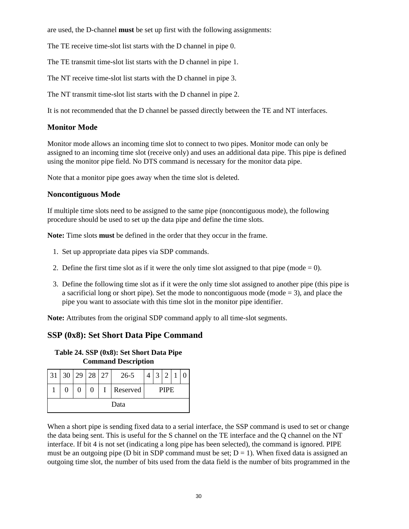are used, the D-channel **must** be set up first with the following assignments:

The TE receive time-slot list starts with the D channel in pipe 0.

The TE transmit time-slot list starts with the D channel in pipe 1.

The NT receive time-slot list starts with the D channel in pipe 3.

The NT transmit time-slot list starts with the D channel in pipe 2.

It is not recommended that the D channel be passed directly between the TE and NT interfaces.

### **Monitor Mode**

Monitor mode allows an incoming time slot to connect to two pipes. Monitor mode can only be assigned to an incoming time slot (receive only) and uses an additional data pipe. This pipe is defined using the monitor pipe field. No DTS command is necessary for the monitor data pipe.

Note that a monitor pipe goes away when the time slot is deleted.

#### **Noncontiguous Mode**

If multiple time slots need to be assigned to the same pipe (noncontiguous mode), the following procedure should be used to set up the data pipe and define the time slots.

**Note:** Time slots **must** be defined in the order that they occur in the frame.

- 1. Set up appropriate data pipes via SDP commands.
- 2. Define the first time slot as if it were the only time slot assigned to that pipe (mode  $= 0$ ).
- 3. Define the following time slot as if it were the only time slot assigned to another pipe (this pipe is a sacrificial long or short pipe). Set the mode to noncontiguous mode (mode  $=$  3), and place the pipe you want to associate with this time slot in the monitor pipe identifier.

**Note:** Attributes from the original SDP command apply to all time-slot segments.

### **SSP (0x8): Set Short Data Pipe Command**

**Table 24. SSP (0x8): Set Short Data Pipe Command Description**

| 31   |  | 30 29 28 27 |          |  | $26 - 5$ | $\mathcal{D}$<br>3 |  |             |  |  |
|------|--|-------------|----------|--|----------|--------------------|--|-------------|--|--|
|      |  |             | $\Omega$ |  | Reserved |                    |  | <b>PIPE</b> |  |  |
| Data |  |             |          |  |          |                    |  |             |  |  |

When a short pipe is sending fixed data to a serial interface, the SSP command is used to set or change the data being sent. This is useful for the S channel on the TE interface and the Q channel on the NT interface. If bit 4 is not set (indicating a long pipe has been selected), the command is ignored. PIPE must be an outgoing pipe (D bit in SDP command must be set;  $D = 1$ ). When fixed data is assigned an outgoing time slot, the number of bits used from the data field is the number of bits programmed in the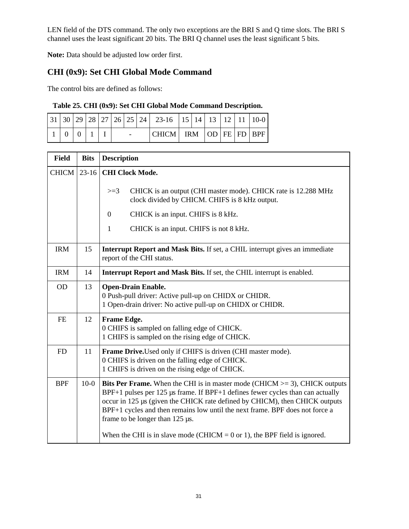LEN field of the DTS command. The only two exceptions are the BRI S and Q time slots. The BRI S channel uses the least significant 20 bits. The BRI Q channel uses the least significant 5 bits.

**Note:** Data should be adjusted low order first.

# **CHI (0x9): Set CHI Global Mode Command**

The control bits are defined as follows:

### **Table 25. CHI (0x9): Set CHI Global Mode Command Description.**

|                         |  |  |  | $\vert 31 \vert 30 \vert 29 \vert 28 \vert 27 \vert 26 \vert 25 \vert 24 \vert 23$ -16 $\vert 15 \vert 14 \vert 13 \vert 12 \vert 11 \vert 10$ -0 |  |  |  |
|-------------------------|--|--|--|---------------------------------------------------------------------------------------------------------------------------------------------------|--|--|--|
| $+0$ $+0$ $+1$ $+1$ $+$ |  |  |  | $ CHICM $ IRM $ OD FE FD BPF$                                                                                                                     |  |  |  |

| <b>Field</b> | <b>Bits</b> | <b>Description</b>                                                                                                                                                                                                                                                                                                                                                                                                                                           |
|--------------|-------------|--------------------------------------------------------------------------------------------------------------------------------------------------------------------------------------------------------------------------------------------------------------------------------------------------------------------------------------------------------------------------------------------------------------------------------------------------------------|
| CHICM        | $23-16$     | <b>CHI Clock Mode.</b><br>CHICK is an output (CHI master mode). CHICK rate is 12.288 MHz<br>$>=3$                                                                                                                                                                                                                                                                                                                                                            |
|              |             | clock divided by CHICM. CHIFS is 8 kHz output.                                                                                                                                                                                                                                                                                                                                                                                                               |
|              |             | CHICK is an input. CHIFS is 8 kHz.<br>$\boldsymbol{0}$                                                                                                                                                                                                                                                                                                                                                                                                       |
|              |             | $\mathbf{1}$<br>CHICK is an input. CHIFS is not 8 kHz.                                                                                                                                                                                                                                                                                                                                                                                                       |
| <b>IRM</b>   | 15          | Interrupt Report and Mask Bits. If set, a CHIL interrupt gives an immediate<br>report of the CHI status.                                                                                                                                                                                                                                                                                                                                                     |
| <b>IRM</b>   | 14          | Interrupt Report and Mask Bits. If set, the CHIL interrupt is enabled.                                                                                                                                                                                                                                                                                                                                                                                       |
| <b>OD</b>    | 13          | <b>Open-Drain Enable.</b><br>0 Push-pull driver: Active pull-up on CHIDX or CHIDR.<br>1 Open-drain driver: No active pull-up on CHIDX or CHIDR.                                                                                                                                                                                                                                                                                                              |
| <b>FE</b>    | 12          | <b>Frame Edge.</b><br>0 CHIFS is sampled on falling edge of CHICK.<br>1 CHIFS is sampled on the rising edge of CHICK.                                                                                                                                                                                                                                                                                                                                        |
| <b>FD</b>    | 11          | Frame Drive. Used only if CHIFS is driven (CHI master mode).<br>0 CHIFS is driven on the falling edge of CHICK.<br>1 CHIFS is driven on the rising edge of CHICK.                                                                                                                                                                                                                                                                                            |
| <b>BPF</b>   | $10-0$      | <b>Bits Per Frame.</b> When the CHI is in master mode (CHICM $>=$ 3), CHICK outputs<br>BPF+1 pulses per 125 µs frame. If BPF+1 defines fewer cycles than can actually<br>occur in 125 µs (given the CHICK rate defined by CHICM), then CHICK outputs<br>BPF+1 cycles and then remains low until the next frame. BPF does not force a<br>frame to be longer than $125 \mu s$ .<br>When the CHI is in slave mode (CHICM = $0$ or 1), the BPF field is ignored. |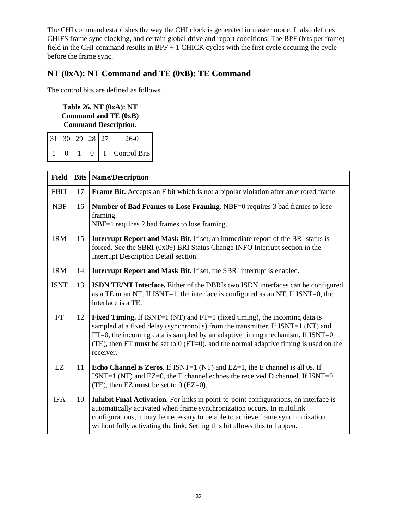The CHI command establishes the way the CHI clock is generated in master mode. It also defines CHIFS frame sync clocking, and certain global drive and report conditions. The BPF (bits per frame) field in the CHI command results in BPF + 1 CHICK cycles with the first cycle occuring the cycle before the frame sync.

# **NT (0xA): NT Command and TE (0xB): TE Command**

The control bits are defined as follows.

#### **Table 26. NT (0xA): NT Command and TE (0xB) Command Description.**

| 31 30 29 28 27 |  | $26-0$              |
|----------------|--|---------------------|
|                |  | <b>Control Bits</b> |

| <b>Field</b> | <b>Bits</b> | <b>Name/Description</b>                                                                                                                                                                                                                                                                                                                                         |
|--------------|-------------|-----------------------------------------------------------------------------------------------------------------------------------------------------------------------------------------------------------------------------------------------------------------------------------------------------------------------------------------------------------------|
| <b>FBIT</b>  | 17          | Frame Bit. Accepts an F bit which is not a bipolar violation after an errored frame.                                                                                                                                                                                                                                                                            |
| <b>NBF</b>   | 16          | Number of Bad Frames to Lose Framing. NBF=0 requires 3 bad frames to lose<br>framing.<br>NBF=1 requires 2 bad frames to lose framing.                                                                                                                                                                                                                           |
| <b>IRM</b>   | 15          | <b>Interrupt Report and Mask Bit.</b> If set, an immediate report of the BRI status is<br>forced. See the SBRI (0x09) BRI Status Change INFO Interrupt section in the<br>Interrupt Description Detail section.                                                                                                                                                  |
| <b>IRM</b>   | 14          | Interrupt Report and Mask Bit. If set, the SBRI interrupt is enabled.                                                                                                                                                                                                                                                                                           |
| <b>ISNT</b>  | 13          | <b>ISDN TE/NT Interface.</b> Either of the DBRIs two ISDN interfaces can be configured<br>as a TE or an NT. If ISNT=1, the interface is configured as an NT. If ISNT=0, the<br>interface is a TE.                                                                                                                                                               |
| <b>FT</b>    | 12          | <b>Fixed Timing.</b> If ISNT=1 (NT) and FT=1 (fixed timing), the incoming data is<br>sampled at a fixed delay (synchronous) from the transmitter. If ISNT=1 (NT) and<br>$FT=0$ , the incoming data is sampled by an adaptive timing mechanism. If ISNT=0<br>(TE), then FT must be set to $0$ (FT=0), and the normal adaptive timing is used on the<br>receiver. |
| EZ           | 11          | <b>Echo Channel is Zeros.</b> If ISNT=1 (NT) and EZ=1, the E channel is all 0s. If<br>ISNT=1 (NT) and EZ=0, the E channel echoes the received D channel. If ISNT=0<br>(TE), then EZ must be set to $0$ (EZ=0).                                                                                                                                                  |
| <b>IFA</b>   | 10          | Inhibit Final Activation. For links in point-to-point configurations, an interface is<br>automatically activated when frame synchronization occurs. In multilink<br>configurations, it may be necessary to be able to achieve frame synchronization<br>without fully activating the link. Setting this bit allows this to happen.                               |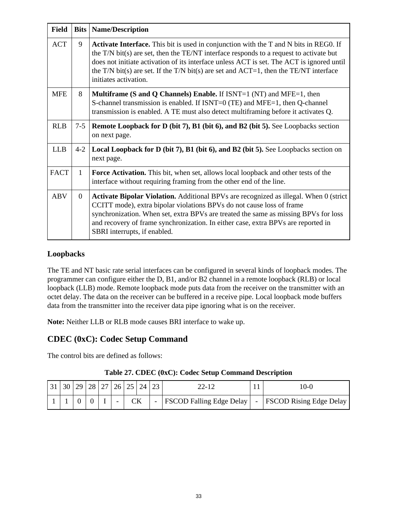| <b>Field</b> | <b>Bits</b>  | <b>Name/Description</b>                                                                                                                                                                                                                                                                                                                                                                                    |
|--------------|--------------|------------------------------------------------------------------------------------------------------------------------------------------------------------------------------------------------------------------------------------------------------------------------------------------------------------------------------------------------------------------------------------------------------------|
| <b>ACT</b>   | 9            | <b>Activate Interface.</b> This bit is used in conjunction with the T and N bits in REG0. If<br>the $T/N$ bit(s) are set, then the TE/NT interface responds to a request to activate but<br>does not initiate activation of its interface unless ACT is set. The ACT is ignored until<br>the T/N bit(s) are set. If the T/N bit(s) are set and $ACT=1$ , then the TE/NT interface<br>initiates activation. |
| <b>MFE</b>   | 8            | <b>Multiframe (S and Q Channels) Enable.</b> If $ISNT=1$ (NT) and MFE=1, then<br>S-channel transmission is enabled. If ISNT=0 (TE) and MFE=1, then Q-channel<br>transmission is enabled. A TE must also detect multiframing before it activates Q.                                                                                                                                                         |
| <b>RLB</b>   | $7 - 5$      | <b>Remote Loopback for D (bit 7), B1 (bit 6), and B2 (bit 5).</b> See Loopbacks section<br>on next page.                                                                                                                                                                                                                                                                                                   |
| <b>LLB</b>   | $4 - 2$      | <b>Local Loopback for D (bit 7), B1 (bit 6), and B2 (bit 5).</b> See Loopbacks section on<br>next page.                                                                                                                                                                                                                                                                                                    |
| <b>FACT</b>  | $\mathbf{1}$ | Force Activation. This bit, when set, allows local loopback and other tests of the<br>interface without requiring framing from the other end of the line.                                                                                                                                                                                                                                                  |
| <b>ABV</b>   | $\Omega$     | <b>Activate Bipolar Violation.</b> Additional BPVs are recognized as illegal. When 0 (strict<br>CCITT mode), extra bipolar violations BPVs do not cause loss of frame<br>synchronization. When set, extra BPVs are treated the same as missing BPVs for loss<br>and recovery of frame synchronization. In either case, extra BPVs are reported in<br>SBRI interrupts, if enabled.                          |

### **Loopbacks**

The TE and NT basic rate serial interfaces can be configured in several kinds of loopback modes. The programmer can configure either the D, B1, and/or B2 channel in a remote loopback (RLB) or local loopback (LLB) mode. Remote loopback mode puts data from the receiver on the transmitter with an octet delay. The data on the receiver can be buffered in a receive pipe. Local loopback mode buffers data from the transmitter into the receiver data pipe ignoring what is on the receiver.

**Note:** Neither LLB or RLB mode causes BRI interface to wake up.

# **CDEC (0xC): Codec Setup Command**

The control bits are defined as follows:

| 31 | 30 | 29 | 28 | 27 <sup>1</sup> | 26 | 25 | $24 \mid 23$                   |  | 22-12                    |  | $0 - C$                        |
|----|----|----|----|-----------------|----|----|--------------------------------|--|--------------------------|--|--------------------------------|
|    |    |    |    |                 | -  |    | СK<br>$\overline{\phantom{0}}$ |  | FSCOD Falling Edge Delay |  | <b>FSCOD Rising Edge Delay</b> |

|  |  | Table 27. CDEC (0xC): Codec Setup Command Description |
|--|--|-------------------------------------------------------|
|  |  |                                                       |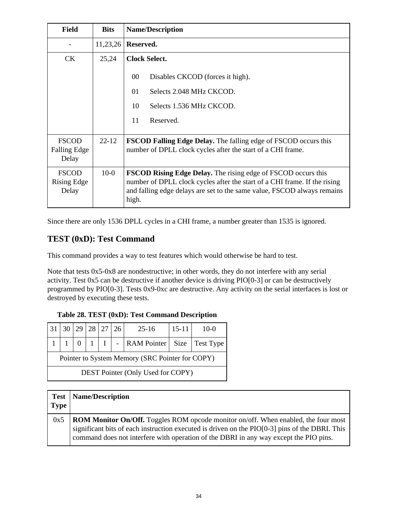| <b>Field</b>                                 | <b>Bits</b> | <b>Name/Description</b>                                                                                                                                                                                                               |
|----------------------------------------------|-------------|---------------------------------------------------------------------------------------------------------------------------------------------------------------------------------------------------------------------------------------|
|                                              | 11,23,26    | Reserved.                                                                                                                                                                                                                             |
| <b>CK</b>                                    | 25,24       | <b>Clock Select.</b>                                                                                                                                                                                                                  |
|                                              |             | $00\,$<br>Disables CKCOD (forces it high).                                                                                                                                                                                            |
|                                              |             | Selects 2.048 MHz CKCOD.<br>01                                                                                                                                                                                                        |
|                                              |             | 10<br>Selects 1.536 MHz CKCOD.                                                                                                                                                                                                        |
|                                              |             | 11<br>Reserved.                                                                                                                                                                                                                       |
| <b>FSCOD</b><br><b>Falling Edge</b><br>Delay | $22 - 12$   | <b>FSCOD Falling Edge Delay.</b> The falling edge of FSCOD occurs this<br>number of DPLL clock cycles after the start of a CHI frame.                                                                                                 |
| <b>FSCOD</b><br>Rising Edge<br>Delay         | $10-0$      | <b>FSCOD Rising Edge Delay.</b> The rising edge of FSCOD occurs this<br>number of DPLL clock cycles after the start of a CHI frame. If the rising<br>and falling edge delays are set to the same value, FSCOD always remains<br>high. |

Since there are only 1536 DPLL cycles in a CHI frame, a number greater than 1535 is ignored.

## **TEST (0xD): Test Command**

This command provides a way to test features which would otherwise be hard to test.

Note that tests 0x5-0x8 are nondestructive; in other words, they do not interfere with any serial activity. Test 0x5 can be destructive if another device is driving PIO[0-3] or can be destructively programmed by PIO[0-3]. Tests 0x9-0xc are destructive. Any activity on the serial interfaces is lost or destroyed by executing these tests.

|  |  |  |  |  | Table 28. TEST (0xD): Test Command Description |
|--|--|--|--|--|------------------------------------------------|
|--|--|--|--|--|------------------------------------------------|

|                                                 |                                          |  |  | 29 28 27 26 |  | $25 - 16$                                           | $15 - 11$ | $10-0$ |  |  |
|-------------------------------------------------|------------------------------------------|--|--|-------------|--|-----------------------------------------------------|-----------|--------|--|--|
|                                                 |                                          |  |  |             |  | $0 \mid 1 \mid I \mid -$ RAM Pointer Size Test Type |           |        |  |  |
| Pointer to System Memory (SRC Pointer for COPY) |                                          |  |  |             |  |                                                     |           |        |  |  |
|                                                 | <b>DEST Pointer (Only Used for COPY)</b> |  |  |             |  |                                                     |           |        |  |  |

| <b>Test</b><br><b>Type</b> | <b>Name/Description</b>                                                                                                                                                                                                                                                                |
|----------------------------|----------------------------------------------------------------------------------------------------------------------------------------------------------------------------------------------------------------------------------------------------------------------------------------|
| 0x5                        | <b>ROM Monitor On/Off.</b> Toggles ROM opcode monitor on/off. When enabled, the four most<br>significant bits of each instruction executed is driven on the $PIO[0-3]$ pins of the DBRI. This<br>command does not interfere with operation of the DBRI in any way except the PIO pins. |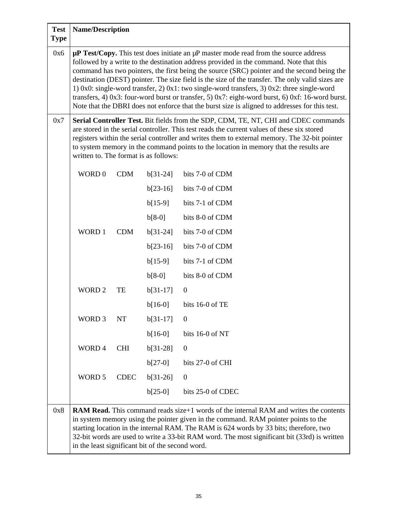| <b>Test</b><br><b>Type</b> | <b>Name/Description</b>                                                                                                                                                                                                                                                                                                                                                                                                                                                                                                                                                                                                                                                                         |             |            |                   |  |  |
|----------------------------|-------------------------------------------------------------------------------------------------------------------------------------------------------------------------------------------------------------------------------------------------------------------------------------------------------------------------------------------------------------------------------------------------------------------------------------------------------------------------------------------------------------------------------------------------------------------------------------------------------------------------------------------------------------------------------------------------|-------------|------------|-------------------|--|--|
| 0x6                        | $\mu$ P Test/Copy. This test does initiate an $\mu$ P master mode read from the source address<br>followed by a write to the destination address provided in the command. Note that this<br>command has two pointers, the first being the source (SRC) pointer and the second being the<br>destination (DEST) pointer. The size field is the size of the transfer. The only valid sizes are<br>1) 0x0: single-word transfer, 2) 0x1: two single-word transfers, 3) 0x2: three single-word<br>transfers, 4) 0x3: four-word burst or transfer, 5) 0x7: eight-word burst, 6) 0xf: 16-word burst.<br>Note that the DBRI does not enforce that the burst size is aligned to addresses for this test. |             |            |                   |  |  |
| 0x7                        | Serial Controller Test. Bit fields from the SDP, CDM, TE, NT, CHI and CDEC commands<br>are stored in the serial controller. This test reads the current values of these six stored<br>registers within the serial controller and writes them to external memory. The 32-bit pointer<br>to system memory in the command points to the location in memory that the results are<br>written to. The format is as follows:                                                                                                                                                                                                                                                                           |             |            |                   |  |  |
|                            | WORD 0                                                                                                                                                                                                                                                                                                                                                                                                                                                                                                                                                                                                                                                                                          | <b>CDM</b>  | $b[31-24]$ | bits 7-0 of CDM   |  |  |
|                            |                                                                                                                                                                                                                                                                                                                                                                                                                                                                                                                                                                                                                                                                                                 |             | $b[23-16]$ | bits 7-0 of CDM   |  |  |
|                            |                                                                                                                                                                                                                                                                                                                                                                                                                                                                                                                                                                                                                                                                                                 |             | $b[15-9]$  | bits 7-1 of CDM   |  |  |
|                            |                                                                                                                                                                                                                                                                                                                                                                                                                                                                                                                                                                                                                                                                                                 |             | $b[8-0]$   | bits 8-0 of CDM   |  |  |
|                            | WORD 1                                                                                                                                                                                                                                                                                                                                                                                                                                                                                                                                                                                                                                                                                          | <b>CDM</b>  | $b[31-24]$ | bits 7-0 of CDM   |  |  |
|                            |                                                                                                                                                                                                                                                                                                                                                                                                                                                                                                                                                                                                                                                                                                 |             | $b[23-16]$ | bits 7-0 of CDM   |  |  |
|                            |                                                                                                                                                                                                                                                                                                                                                                                                                                                                                                                                                                                                                                                                                                 |             | $b[15-9]$  | bits 7-1 of CDM   |  |  |
|                            |                                                                                                                                                                                                                                                                                                                                                                                                                                                                                                                                                                                                                                                                                                 |             | $b[8-0]$   | bits 8-0 of CDM   |  |  |
|                            | <b>WORD 2</b>                                                                                                                                                                                                                                                                                                                                                                                                                                                                                                                                                                                                                                                                                   | TE          | $b[31-17]$ | $\boldsymbol{0}$  |  |  |
|                            |                                                                                                                                                                                                                                                                                                                                                                                                                                                                                                                                                                                                                                                                                                 |             | $b[16-0]$  | bits 16-0 of TE   |  |  |
|                            | WORD <sub>3</sub>                                                                                                                                                                                                                                                                                                                                                                                                                                                                                                                                                                                                                                                                               | <b>NT</b>   | $b[31-17]$ | $\boldsymbol{0}$  |  |  |
|                            |                                                                                                                                                                                                                                                                                                                                                                                                                                                                                                                                                                                                                                                                                                 |             | $b[16-0]$  | bits 16-0 of NT   |  |  |
|                            | WORD 4                                                                                                                                                                                                                                                                                                                                                                                                                                                                                                                                                                                                                                                                                          | <b>CHI</b>  | $b[31-28]$ | $\mathbf{0}$      |  |  |
|                            |                                                                                                                                                                                                                                                                                                                                                                                                                                                                                                                                                                                                                                                                                                 |             | $b[27-0]$  | bits 27-0 of CHI  |  |  |
|                            | WORD 5                                                                                                                                                                                                                                                                                                                                                                                                                                                                                                                                                                                                                                                                                          | <b>CDEC</b> | $b[31-26]$ | $\boldsymbol{0}$  |  |  |
|                            |                                                                                                                                                                                                                                                                                                                                                                                                                                                                                                                                                                                                                                                                                                 |             | $b[25-0]$  | bits 25-0 of CDEC |  |  |
| 0x8                        | <b>RAM Read.</b> This command reads size $+1$ words of the internal RAM and writes the contents<br>in system memory using the pointer given in the command. RAM pointer points to the<br>starting location in the internal RAM. The RAM is 624 words by 33 bits; therefore, two<br>32-bit words are used to write a 33-bit RAM word. The most significant bit (33rd) is written<br>in the least significant bit of the second word.                                                                                                                                                                                                                                                             |             |            |                   |  |  |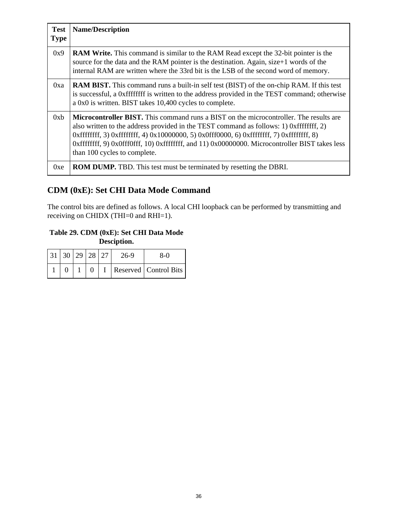| <b>Test</b><br><b>Type</b> | <b>Name/Description</b>                                                                                                                                                                                                                                                                                                                                                                                                |
|----------------------------|------------------------------------------------------------------------------------------------------------------------------------------------------------------------------------------------------------------------------------------------------------------------------------------------------------------------------------------------------------------------------------------------------------------------|
| 0x9                        | <b>RAM Write.</b> This command is similar to the RAM Read except the 32-bit pointer is the<br>source for the data and the RAM pointer is the destination. Again, size+1 words of the<br>internal RAM are written where the 33rd bit is the LSB of the second word of memory.                                                                                                                                           |
| 0xa                        | <b>RAM BIST.</b> This command runs a built-in self test (BIST) of the on-chip RAM. If this test<br>is successful, a 0xffffffff is written to the address provided in the TEST command; otherwise<br>a 0x0 is written. BIST takes 10,400 cycles to complete.                                                                                                                                                            |
| 0xb                        | <b>Microcontroller BIST.</b> This command runs a BIST on the microcontroller. The results are<br>also written to the address provided in the TEST command as follows: 1) 0xffffffff, 2)<br>0xffffffff, 3) 0xffffffff, 4) 0x10000000, 5) 0x0fff0000, 6) 0xffffffff, 7) 0xffffffff, 8)<br>0xffffffff, 9) 0x0fff0fff, 10) 0xffffffff, and 11) 0x00000000. Microcontroller BIST takes less<br>than 100 cycles to complete. |
| 0xe                        | <b>ROM DUMP.</b> TBD. This test must be terminated by resetting the DBRI.                                                                                                                                                                                                                                                                                                                                              |

# **CDM (0xE): Set CHI Data Mode Command**

The control bits are defined as follows. A local CHI loopback can be performed by transmitting and receiving on CHIDX (THI=0 and RHI=1).

### **Table 29. CDM (0xE): Set CHI Data Mode Desciption.**

| 31   30   29   28   27 |  | 26-9 | 8-0                       |
|------------------------|--|------|---------------------------|
|                        |  |      | $I$ Reserved Control Bits |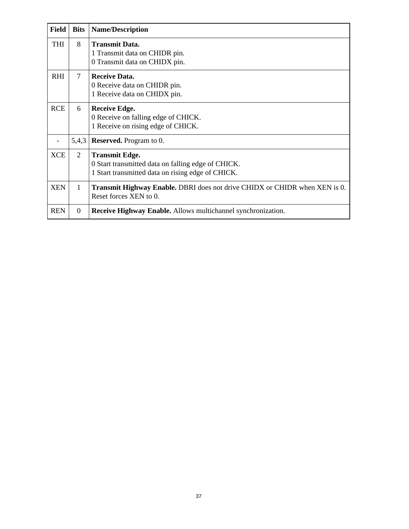| <b>Field</b> | <b>Bits</b>    | <b>Name/Description</b>                                                                                                          |
|--------------|----------------|----------------------------------------------------------------------------------------------------------------------------------|
| <b>THI</b>   | 8              | <b>Transmit Data.</b><br>1 Transmit data on CHIDR pin.<br>0 Transmit data on CHIDX pin.                                          |
| <b>RHI</b>   | 7              | <b>Receive Data.</b><br>0 Receive data on CHIDR pin.<br>1 Receive data on CHIDX pin.                                             |
| <b>RCE</b>   | 6              | <b>Receive Edge.</b><br>0 Receive on falling edge of CHICK.<br>1 Receive on rising edge of CHICK.                                |
|              | 5,4,3          | <b>Reserved.</b> Program to 0.                                                                                                   |
| <b>XCE</b>   | 2              | <b>Transmit Edge.</b><br>0 Start transmitted data on falling edge of CHICK.<br>1 Start transmitted data on rising edge of CHICK. |
| <b>XEN</b>   | $\mathbf{1}$   | <b>Transmit Highway Enable.</b> DBRI does not drive CHIDX or CHIDR when XEN is 0.<br>Reset forces XEN to 0.                      |
| <b>REN</b>   | $\overline{0}$ | <b>Receive Highway Enable.</b> Allows multichannel synchronization.                                                              |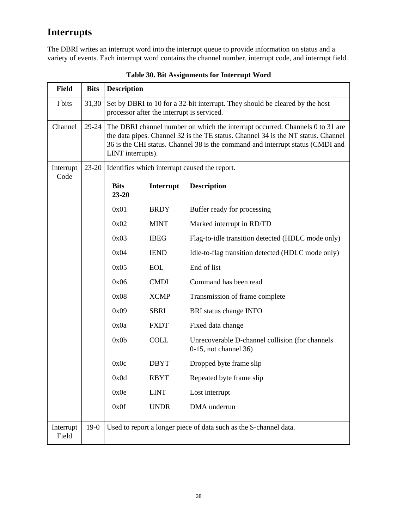# **Interrupts**

The DBRI writes an interrupt word into the interrupt queue to provide information on status and a variety of events. Each interrupt word contains the channel number, interrupt code, and interrupt field.

| <b>Field</b>       | <b>Bits</b> | <b>Description</b>       |                                                                                                                                                                                                                                                                           |                                                                              |  |  |  |  |  |  |
|--------------------|-------------|--------------------------|---------------------------------------------------------------------------------------------------------------------------------------------------------------------------------------------------------------------------------------------------------------------------|------------------------------------------------------------------------------|--|--|--|--|--|--|
| I bits             | 31,30       |                          | processor after the interrupt is serviced.                                                                                                                                                                                                                                | Set by DBRI to 10 for a 32-bit interrupt. They should be cleared by the host |  |  |  |  |  |  |
| Channel            | 29-24       |                          | The DBRI channel number on which the interrupt occurred. Channels 0 to 31 are<br>the data pipes. Channel 32 is the TE status. Channel 34 is the NT status. Channel<br>36 is the CHI status. Channel 38 is the command and interrupt status (CMDI and<br>LINT interrupts). |                                                                              |  |  |  |  |  |  |
| Interrupt<br>Code  | $23 - 20$   |                          | Identifies which interrupt caused the report.                                                                                                                                                                                                                             |                                                                              |  |  |  |  |  |  |
|                    |             | <b>Bits</b><br>$23 - 20$ | Interrupt                                                                                                                                                                                                                                                                 | <b>Description</b>                                                           |  |  |  |  |  |  |
|                    |             | 0x01                     | <b>BRDY</b>                                                                                                                                                                                                                                                               | Buffer ready for processing                                                  |  |  |  |  |  |  |
|                    |             | 0x02                     | <b>MINT</b>                                                                                                                                                                                                                                                               | Marked interrupt in RD/TD                                                    |  |  |  |  |  |  |
|                    |             | 0x03                     | <b>IBEG</b>                                                                                                                                                                                                                                                               | Flag-to-idle transition detected (HDLC mode only)                            |  |  |  |  |  |  |
|                    |             | 0x04                     | <b>IEND</b>                                                                                                                                                                                                                                                               | Idle-to-flag transition detected (HDLC mode only)                            |  |  |  |  |  |  |
|                    |             | 0x05                     | <b>EOL</b>                                                                                                                                                                                                                                                                | End of list                                                                  |  |  |  |  |  |  |
|                    |             | 0x06                     | <b>CMDI</b>                                                                                                                                                                                                                                                               | Command has been read                                                        |  |  |  |  |  |  |
|                    |             | 0x08                     | <b>XCMP</b>                                                                                                                                                                                                                                                               | Transmission of frame complete                                               |  |  |  |  |  |  |
|                    |             | 0x09                     | <b>SBRI</b>                                                                                                                                                                                                                                                               | BRI status change INFO                                                       |  |  |  |  |  |  |
|                    |             | 0x0a                     | <b>FXDT</b>                                                                                                                                                                                                                                                               | Fixed data change                                                            |  |  |  |  |  |  |
|                    |             | 0x0b                     | <b>COLL</b>                                                                                                                                                                                                                                                               | Unrecoverable D-channel collision (for channels<br>$0-15$ , not channel 36)  |  |  |  |  |  |  |
|                    |             | 0x0c                     | <b>DBYT</b>                                                                                                                                                                                                                                                               | Dropped byte frame slip                                                      |  |  |  |  |  |  |
|                    |             | 0x0d                     | <b>RBYT</b>                                                                                                                                                                                                                                                               | Repeated byte frame slip                                                     |  |  |  |  |  |  |
|                    |             | 0x0e                     | <b>LINT</b>                                                                                                                                                                                                                                                               | Lost interrupt                                                               |  |  |  |  |  |  |
|                    |             | 0x0f                     | <b>UNDR</b>                                                                                                                                                                                                                                                               | DMA underrun                                                                 |  |  |  |  |  |  |
| Interrupt<br>Field | $19-0$      |                          |                                                                                                                                                                                                                                                                           | Used to report a longer piece of data such as the S-channel data.            |  |  |  |  |  |  |

**Table 30. Bit Assignments for Interrupt Word**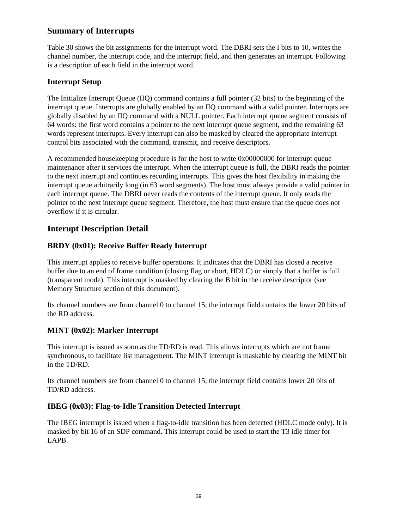## **Summary of Interrupts**

Table 30 shows the bit assignments for the interrupt word. The DBRI sets the I bits to 10, writes the channel number, the interrupt code, and the interrupt field, and then generates an interrupt. Following is a description of each field in the interrupt word.

### **Interrupt Setup**

The Initialize Interrupt Queue (IIQ) command contains a full pointer (32 bits) to the beginning of the interrupt queue. Interrupts are globally enabled by an IIQ command with a valid pointer. Interrupts are globally disabled by an IIQ command with a NULL pointer. Each interrupt queue segment consists of 64 words: the first word contains a pointer to the next interrupt queue segment, and the remaining 63 words represent interrupts. Every interrupt can also be masked by cleared the appropriate interrupt control bits associated with the command, transmit, and receive descriptors.

A recommended housekeeping procedure is for the host to write 0x00000000 for interrupt queue maintenance after it services the interrupt. When the interrupt queue is full, the DBRI reads the pointer to the next interrupt and continues recording interrupts. This gives the host flexibility in making the interrupt queue arbitrarily long (in 63 word segments). The host must always provide a valid pointer in each interrupt queue. The DBRI never reads the contents of the interrupt queue. It only reads the pointer to the next interrupt queue segment. Therefore, the host must ensure that the queue does not overflow if it is circular.

# **Interupt Description Detail**

## **BRDY (0x01): Receive Buffer Ready Interrupt**

This interrupt applies to receive buffer operations. It indicates that the DBRI has closed a receive buffer due to an end of frame condition (closing flag or abort, HDLC) or simply that a buffer is full (transparent mode). This interrupt is masked by clearing the B bit in the receive descriptor (see Memory Structure section of this document).

Its channel numbers are from channel 0 to channel 15; the interrupt field contains the lower 20 bits of the RD address.

## **MINT (0x02): Marker Interrupt**

This interrupt is issued as soon as the TD/RD is read. This allows interrupts which are not frame synchronous, to facilitate list management. The MINT interrupt is maskable by clearing the MINT bit in the TD/RD.

Its channel numbers are from channel 0 to channel 15; the interrupt field contains lower 20 bits of TD/RD address.

## **IBEG (0x03): Flag-to-Idle Transition Detected Interrupt**

The IBEG interrupt is issued when a flag-to-idle transition has been detected (HDLC mode only). It is masked by bit 16 of an SDP command. This interrupt could be used to start the T3 idle timer for LAPB.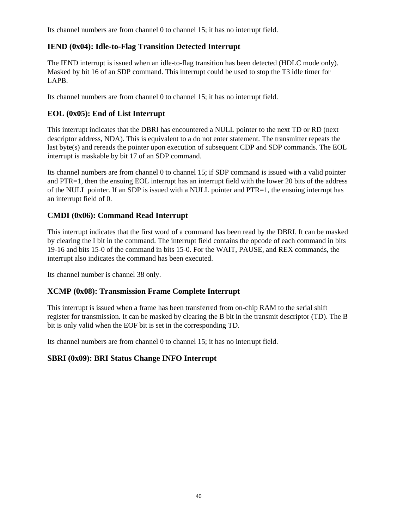Its channel numbers are from channel 0 to channel 15; it has no interrupt field.

### **IEND (0x04): Idle-to-Flag Transition Detected Interrupt**

The IEND interrupt is issued when an idle-to-flag transition has been detected (HDLC mode only). Masked by bit 16 of an SDP command. This interrupt could be used to stop the T3 idle timer for LAPB.

Its channel numbers are from channel 0 to channel 15; it has no interrupt field.

### **EOL (0x05): End of List Interrupt**

This interrupt indicates that the DBRI has encountered a NULL pointer to the next TD or RD (next descriptor address, NDA). This is equivalent to a do not enter statement. The transmitter repeats the last byte(s) and rereads the pointer upon execution of subsequent CDP and SDP commands. The EOL interrupt is maskable by bit 17 of an SDP command.

Its channel numbers are from channel 0 to channel 15; if SDP command is issued with a valid pointer and PTR=1, then the ensuing EOL interrupt has an interrupt field with the lower 20 bits of the address of the NULL pointer. If an SDP is issued with a NULL pointer and PTR=1, the ensuing interrupt has an interrupt field of 0.

### **CMDI (0x06): Command Read Interrupt**

This interrupt indicates that the first word of a command has been read by the DBRI. It can be masked by clearing the I bit in the command. The interrupt field contains the opcode of each command in bits 19-16 and bits 15-0 of the command in bits 15-0. For the WAIT, PAUSE, and REX commands, the interrupt also indicates the command has been executed.

Its channel number is channel 38 only.

### **XCMP (0x08): Transmission Frame Complete Interrupt**

This interrupt is issued when a frame has been transferred from on-chip RAM to the serial shift register for transmission. It can be masked by clearing the B bit in the transmit descriptor (TD). The B bit is only valid when the EOF bit is set in the corresponding TD.

Its channel numbers are from channel 0 to channel 15; it has no interrupt field.

### **SBRI (0x09): BRI Status Change INFO Interrupt**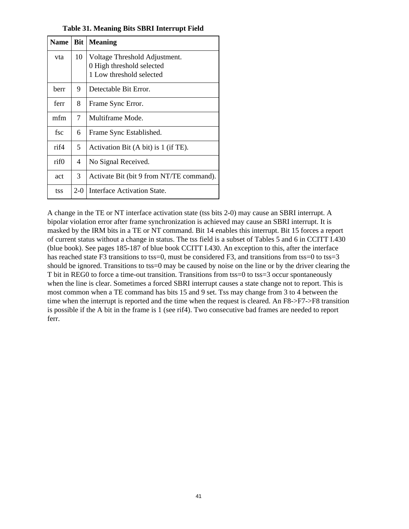| <b>Name</b> |       | <b>Bit</b>   Meaning                                       |
|-------------|-------|------------------------------------------------------------|
| vta         | 10    | Voltage Threshold Adjustment.<br>0 High threshold selected |
|             |       | 1 Low threshold selected                                   |
| herr        | 9     | Detectable Bit Error.                                      |
| ferr        | 8     | Frame Sync Error.                                          |
| mfm         | 7     | Multiframe Mode.                                           |
| fsc         | 6     | Frame Sync Established.                                    |
| rif4        | 5     | Activation Bit $(A \text{ bit})$ is 1 (if TE).             |
| rif0        | 4     | No Signal Received.                                        |
| act         | 3     | Activate Bit (bit 9 from NT/TE command).                   |
| tss         | $2-0$ | Interface Activation State.                                |

**Table 31. Meaning Bits SBRI Interrupt Field**

A change in the TE or NT interface activation state (tss bits 2-0) may cause an SBRI interrupt. A bipolar violation error after frame synchronization is achieved may cause an SBRI interrupt. It is masked by the IRM bits in a TE or NT command. Bit 14 enables this interrupt. Bit 15 forces a report of current status without a change in status. The tss field is a subset of Tables 5 and 6 in CCITT I.430 (blue book). See pages 185-187 of blue book CCITT I.430. An exception to this, after the interface has reached state F3 transitions to tss=0, must be considered F3, and transitions from tss=0 to tss=3 should be ignored. Transitions to tss=0 may be caused by noise on the line or by the driver clearing the T bit in REG0 to force a time-out transition. Transitions from tss=0 to tss=3 occur spontaneously when the line is clear. Sometimes a forced SBRI interrupt causes a state change not to report. This is most common when a TE command has bits 15 and 9 set. Tss may change from 3 to 4 between the time when the interrupt is reported and the time when the request is cleared. An F8->F7->F8 transition is possible if the A bit in the frame is 1 (see rif4). Two consecutive bad frames are needed to report ferr.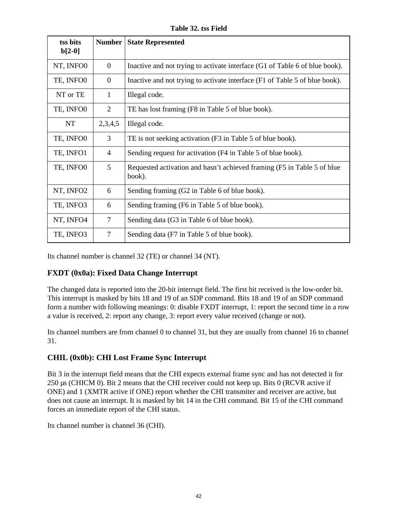**Table 32. tss Field**

| tss bits<br>$b[2-0]$ | <b>Number</b>  | <b>State Represented</b>                                                           |
|----------------------|----------------|------------------------------------------------------------------------------------|
| NT, INFO0            | $\overline{0}$ | Inactive and not trying to activate interface (G1 of Table 6 of blue book).        |
| TE, INFO0            | $\theta$       | Inactive and not trying to activate interface (F1 of Table 5 of blue book).        |
| NT or TE             | 1              | Illegal code.                                                                      |
| TE, INFO0            | $\overline{2}$ | TE has lost framing (F8 in Table 5 of blue book).                                  |
| NT                   | 2,3,4,5        | Illegal code.                                                                      |
| TE, INFO0            | 3              | TE is not seeking activation (F3 in Table 5 of blue book).                         |
| TE, INFO1            | $\overline{4}$ | Sending request for activation (F4 in Table 5 of blue book).                       |
| TE, INFO0            | 5              | Requested activation and hasn't achieved framing (F5 in Table 5 of blue)<br>book). |
| NT, INFO2            | 6              | Sending framing (G2 in Table 6 of blue book).                                      |
| TE, INFO3            | 6              | Sending framing (F6 in Table 5 of blue book).                                      |
| NT, INFO4            | $\overline{7}$ | Sending data (G3 in Table 6 of blue book).                                         |
| TE, INFO3            | $\overline{7}$ | Sending data (F7 in Table 5 of blue book).                                         |

Its channel number is channel 32 (TE) or channel 34 (NT).

### **FXDT (0x0a): Fixed Data Change Interrupt**

The changed data is reported into the 20-bit interrupt field. The first bit received is the low-order bit. This interrupt is masked by bits 18 and 19 of an SDP command. Bits 18 and 19 of an SDP command form a number with following meanings: 0: disable FXDT interrupt, 1: report the second time in a row a value is received, 2: report any change, 3: report every value received (change or not).

Its channel numbers are from channel 0 to channel 31, but they are usually from channel 16 to channel 31.

### **CHIL (0x0b): CHI Lost Frame Sync Interrupt**

Bit 3 in the interrupt field means that the CHI expects external frame sync and has not detected it for 250 µs (CHICM 0). Bit 2 means that the CHI receiver could not keep up. Bits 0 (RCVR active if ONE) and 1 (XMTR active if ONE) report whether the CHI transmiter and receiver are active, but does not cause an interrupt. It is masked by bit 14 in the CHI command. Bit 15 of the CHI command forces an immediate report of the CHI status.

Its channel number is channel 36 (CHI).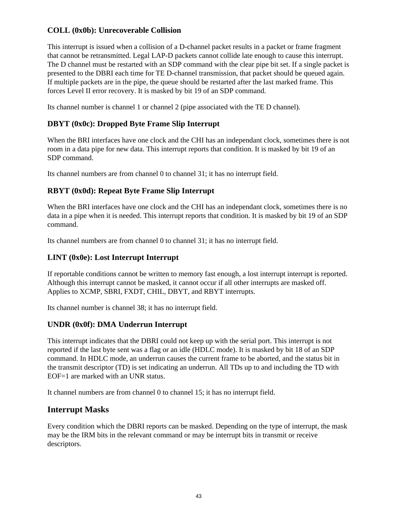### **COLL (0x0b): Unrecoverable Collision**

This interrupt is issued when a collision of a D-channel packet results in a packet or frame fragment that cannot be retransmitted. Legal LAP-D packets cannot collide late enough to cause this interrupt. The D channel must be restarted with an SDP command with the clear pipe bit set. If a single packet is presented to the DBRI each time for TE D-channel transmission, that packet should be queued again. If multiple packets are in the pipe, the queue should be restarted after the last marked frame. This forces Level II error recovery. It is masked by bit 19 of an SDP command.

Its channel number is channel 1 or channel 2 (pipe associated with the TE D channel).

### **DBYT (0x0c): Dropped Byte Frame Slip Interrupt**

When the BRI interfaces have one clock and the CHI has an independant clock, sometimes there is not room in a data pipe for new data. This interrupt reports that condition. It is masked by bit 19 of an SDP command.

Its channel numbers are from channel 0 to channel 31; it has no interrupt field.

### **RBYT (0x0d): Repeat Byte Frame Slip Interrupt**

When the BRI interfaces have one clock and the CHI has an independant clock, sometimes there is no data in a pipe when it is needed. This interrupt reports that condition. It is masked by bit 19 of an SDP command.

Its channel numbers are from channel 0 to channel 31; it has no interrupt field.

### **LINT (0x0e): Lost Interrupt Interrupt**

If reportable conditions cannot be written to memory fast enough, a lost interrupt interrupt is reported. Although this interrupt cannot be masked, it cannot occur if all other interrupts are masked off. Applies to XCMP, SBRI, FXDT, CHIL, DBYT, and RBYT interrupts.

Its channel number is channel 38; it has no interrupt field.

### **UNDR (0x0f): DMA Underrun Interrupt**

This interrupt indicates that the DBRI could not keep up with the serial port. This interrupt is not reported if the last byte sent was a flag or an idle (HDLC mode). It is masked by bit 18 of an SDP command. In HDLC mode, an underrun causes the current frame to be aborted, and the status bit in the transmit descriptor (TD) is set indicating an underrun. All TDs up to and including the TD with EOF=1 are marked with an UNR status.

It channel numbers are from channel 0 to channel 15; it has no interrupt field.

### **Interrupt Masks**

Every condition which the DBRI reports can be masked. Depending on the type of interrupt, the mask may be the IRM bits in the relevant command or may be interrupt bits in transmit or receive descriptors.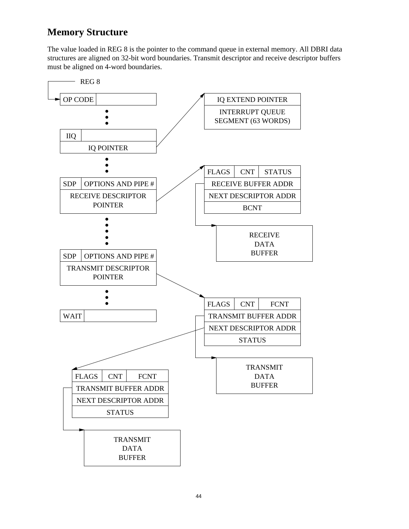# **Memory Structure**

The value loaded in REG 8 is the pointer to the command queue in external memory. All DBRI data structures are aligned on 32-bit word boundaries. Transmit descriptor and receive descriptor buffers must be aligned on 4-word boundaries.

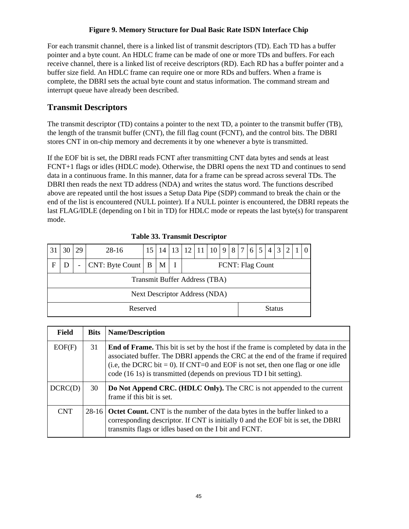### **Figure 9. Memory Structure for Dual Basic Rate ISDN Interface Chip**

For each transmit channel, there is a linked list of transmit descriptors (TD). Each TD has a buffer pointer and a byte count. An HDLC frame can be made of one or more TDs and buffers. For each receive channel, there is a linked list of receive descriptors (RD). Each RD has a buffer pointer and a buffer size field. An HDLC frame can require one or more RDs and buffers. When a frame is complete, the DBRI sets the actual byte count and status information. The command stream and interrupt queue have already been described.

## **Transmit Descriptors**

The transmit descriptor (TD) contains a pointer to the next TD, a pointer to the transmit buffer (TB), the length of the transmit buffer (CNT), the fill flag count (FCNT), and the control bits. The DBRI stores CNT in on-chip memory and decrements it by one whenever a byte is transmitted.

If the EOF bit is set, the DBRI reads FCNT after transmitting CNT data bytes and sends at least FCNT+1 flags or idles (HDLC mode). Otherwise, the DBRI opens the next TD and continues to send data in a continuous frame. In this manner, data for a frame can be spread across several TDs. The DBRI then reads the next TD address (NDA) and writes the status word. The functions described above are repeated until the host issues a Setup Data Pipe (SDP) command to break the chain or the end of the list is encountered (NULL pointer). If a NULL pointer is encountered, the DBRI repeats the last FLAG/IDLE (depending on I bit in TD) for HDLC mode or repeats the last byte(s) for transparent mode.

|    | Tuoit coi Trummint Descriptor                                                      |    |          |    |    |  |                |  |  |  |  |                |     |                |   |   |  |
|----|------------------------------------------------------------------------------------|----|----------|----|----|--|----------------|--|--|--|--|----------------|-----|----------------|---|---|--|
| 31 | 30                                                                                 | 29 | $28-16$  | 15 | 14 |  | 13 12 11 10 98 |  |  |  |  | 7 <sup>1</sup> | 6 5 | $\overline{4}$ | 3 | 2 |  |
| F  | $CNT: B$ yte Count   B<br>M<br><b>FCNT: Flag Count</b><br>$\overline{\phantom{0}}$ |    |          |    |    |  |                |  |  |  |  |                |     |                |   |   |  |
|    | Transmit Buffer Address (TBA)                                                      |    |          |    |    |  |                |  |  |  |  |                |     |                |   |   |  |
|    | <b>Next Descriptor Address (NDA)</b>                                               |    |          |    |    |  |                |  |  |  |  |                |     |                |   |   |  |
|    |                                                                                    |    | Reserved |    |    |  |                |  |  |  |  |                |     | <b>Status</b>  |   |   |  |

**Table 33. Transmit Descriptor**

| <b>Field</b> | <b>Bits</b> | <b>Name/Description</b>                                                                                                                                                                                                                                                                                                                |
|--------------|-------------|----------------------------------------------------------------------------------------------------------------------------------------------------------------------------------------------------------------------------------------------------------------------------------------------------------------------------------------|
| EOF(F)       | 31          | <b>End of Frame.</b> This bit is set by the host if the frame is completed by data in the<br>associated buffer. The DBRI appends the CRC at the end of the frame if required<br>(i.e, the DCRC bit = 0). If CNT=0 and EOF is not set, then one flag or one idle<br>code (16 1s) is transmitted (depends on previous TD I bit setting). |
| DCRC(D)      | 30          | <b>Do Not Append CRC. (HDLC Only).</b> The CRC is not appended to the current<br>frame if this bit is set.                                                                                                                                                                                                                             |
| <b>CNT</b>   | $28-16$     | <b>Octet Count.</b> CNT is the number of the data bytes in the buffer linked to a<br>corresponding descriptor. If CNT is initially 0 and the EOF bit is set, the DBRI<br>transmits flags or idles based on the I bit and FCNT.                                                                                                         |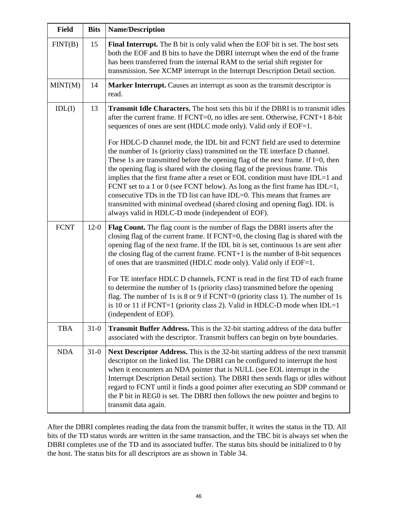| <b>Field</b> | <b>Bits</b> | <b>Name/Description</b>                                                                                                                                                                                                                                                                                                                                                                                                                                                                                                                                                                                                                                                                                                                                                                                                                                                                                                                                                 |
|--------------|-------------|-------------------------------------------------------------------------------------------------------------------------------------------------------------------------------------------------------------------------------------------------------------------------------------------------------------------------------------------------------------------------------------------------------------------------------------------------------------------------------------------------------------------------------------------------------------------------------------------------------------------------------------------------------------------------------------------------------------------------------------------------------------------------------------------------------------------------------------------------------------------------------------------------------------------------------------------------------------------------|
| FINT(B)      | 15          | Final Interrupt. The B bit is only valid when the EOF bit is set. The host sets<br>both the EOF and B bits to have the DBRI interrupt when the end of the frame<br>has been transferred from the internal RAM to the serial shift register for<br>transmission. See XCMP interrupt in the Interrupt Description Detail section.                                                                                                                                                                                                                                                                                                                                                                                                                                                                                                                                                                                                                                         |
| MINT(M)      | 14          | Marker Interrupt. Causes an interrupt as soon as the transmit descriptor is<br>read.                                                                                                                                                                                                                                                                                                                                                                                                                                                                                                                                                                                                                                                                                                                                                                                                                                                                                    |
| IDL(I)       | 13          | <b>Transmit Idle Characters.</b> The host sets this bit if the DBRI is to transmit idles<br>after the current frame. If FCNT=0, no idles are sent. Otherwise, FCNT+1 8-bit<br>sequences of ones are sent (HDLC mode only). Valid only if EOF=1.<br>For HDLC-D channel mode, the IDL bit and FCNT field are used to determine<br>the number of 1s (priority class) transmitted on the TE interface D channel.<br>These 1s are transmitted before the opening flag of the next frame. If $I=0$ , then<br>the opening flag is shared with the closing flag of the previous frame. This<br>implies that the first frame after a reset or EOL condition must have IDL=1 and<br>FCNT set to a 1 or 0 (see FCNT below). As long as the first frame has IDL=1,<br>consecutive TDs in the TD list can have IDL=0. This means that frames are<br>transmitted with minimal overhead (shared closing and opening flag). IDL is<br>always valid in HDLC-D mode (independent of EOF). |
| <b>FCNT</b>  | $12-0$      | Flag Count. The flag count is the number of flags the DBRI inserts after the<br>closing flag of the current frame. If FCNT=0, the closing flag is shared with the<br>opening flag of the next frame. If the IDL bit is set, continuous 1s are sent after<br>the closing flag of the current frame. FCNT+1 is the number of 8-bit sequences<br>of ones that are transmitted (HDLC mode only). Valid only if EOF=1.<br>For TE interface HDLC D channels, FCNT is read in the first TD of each frame<br>to determine the number of 1s (priority class) transmitted before the opening<br>flag. The number of 1s is 8 or 9 if FCNT=0 (priority class 1). The number of 1s<br>is 10 or 11 if FCNT=1 (priority class 2). Valid in HDLC-D mode when IDL=1<br>(independent of EOF).                                                                                                                                                                                             |
| <b>TBA</b>   | $31-0$      | <b>Transmit Buffer Address.</b> This is the 32-bit starting address of the data buffer<br>associated with the descriptor. Transmit buffers can begin on byte boundaries.                                                                                                                                                                                                                                                                                                                                                                                                                                                                                                                                                                                                                                                                                                                                                                                                |
| <b>NDA</b>   | $31-0$      | Next Descriptor Address. This is the 32-bit starting address of the next transmit<br>descriptor on the linked list. The DBRI can be configured to interrupt the host<br>when it encounters an NDA pointer that is NULL (see EOL interrupt in the<br>Interrupt Description Detail section). The DBRI then sends flags or idles without<br>regard to FCNT until it finds a good pointer after executing an SDP command or<br>the P bit in REG0 is set. The DBRI then follows the new pointer and begins to<br>transmit data again.                                                                                                                                                                                                                                                                                                                                                                                                                                        |

After the DBRI completes reading the data from the transmit buffer, it writes the status in the TD. All bits of the TD status words are written in the same transaction, and the TBC bit is always set when the DBRI completes use of the TD and its associated buffer. The status bits should be initialized to 0 by the host. The status bits for all descriptors are as shown in Table 34.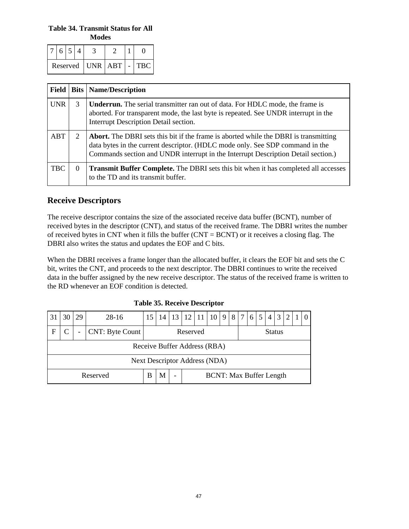**Table 34. Transmit Status for All Modes**

| $Reserved$   UNR   ABT   - |  |  |  |  | TBC . |
|----------------------------|--|--|--|--|-------|

| <b>Field</b> |          | <b>Bits   Name/Description</b>                                                                                                                                                                                                                             |
|--------------|----------|------------------------------------------------------------------------------------------------------------------------------------------------------------------------------------------------------------------------------------------------------------|
| <b>UNR</b>   | 3        | <b>Underrun.</b> The serial transmitter ran out of data. For HDLC mode, the frame is<br>aborted. For transparent mode, the last byte is repeated. See UNDR interrupt in the<br>Interrupt Description Detail section.                                       |
| ABT          | 2        | Abort. The DBRI sets this bit if the frame is aborted while the DBRI is transmitting<br>data bytes in the current descriptor. (HDLC mode only. See SDP command in the<br>Commands section and UNDR interrupt in the Interrupt Description Detail section.) |
| <b>TBC</b>   | $\theta$ | <b>Transmit Buffer Complete.</b> The DBRI sets this bit when it has completed all accesses<br>to the TD and its transmit buffer.                                                                                                                           |

## **Receive Descriptors**

The receive descriptor contains the size of the associated receive data buffer (BCNT), number of received bytes in the descriptor (CNT), and status of the received frame. The DBRI writes the number of received bytes in CNT when it fills the buffer (CNT = BCNT) or it receives a closing flag. The DBRI also writes the status and updates the EOF and C bits.

When the DBRI receives a frame longer than the allocated buffer, it clears the EOF bit and sets the C bit, writes the CNT, and proceeds to the next descriptor. The DBRI continues to write the received data in the buffer assigned by the new receive descriptor. The status of the received frame is written to the RD whenever an EOF condition is detected.

|                                                                                  |                                              | 29 | $28-16$ | 15 | 14 | 13 | 12 | <sup>11</sup> | 10 | 9 | 8 | 7 | 6 <sup>1</sup> | 5 | $\overline{4}$ | $\mathfrak{Z}$ | 2 |  |  |
|----------------------------------------------------------------------------------|----------------------------------------------|----|---------|----|----|----|----|---------------|----|---|---|---|----------------|---|----------------|----------------|---|--|--|
| $\mathbf F$                                                                      | CNT: Byte Count<br>Reserved<br><b>Status</b> |    |         |    |    |    |    |               |    |   |   |   |                |   |                |                |   |  |  |
|                                                                                  | Receive Buffer Address (RBA)                 |    |         |    |    |    |    |               |    |   |   |   |                |   |                |                |   |  |  |
|                                                                                  | Next Descriptor Address (NDA)                |    |         |    |    |    |    |               |    |   |   |   |                |   |                |                |   |  |  |
| <b>BCNT: Max Buffer Length</b><br>М<br>Reserved<br>В<br>$\overline{\phantom{0}}$ |                                              |    |         |    |    |    |    |               |    |   |   |   |                |   |                |                |   |  |  |

**Table 35. Receive Descriptor**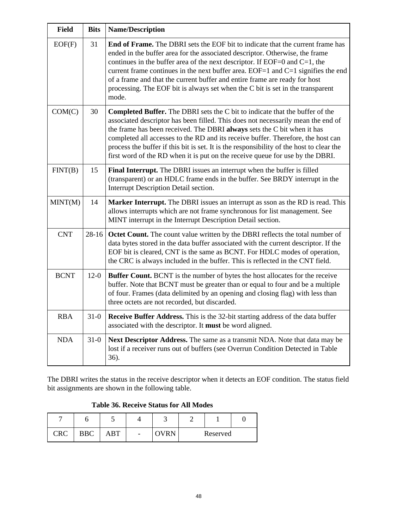| <b>Field</b> | <b>Bits</b> | <b>Name/Description</b>                                                                                                                                                                                                                                                                                                                                                                                                                                                                                             |
|--------------|-------------|---------------------------------------------------------------------------------------------------------------------------------------------------------------------------------------------------------------------------------------------------------------------------------------------------------------------------------------------------------------------------------------------------------------------------------------------------------------------------------------------------------------------|
| EOF(F)       | 31          | <b>End of Frame.</b> The DBRI sets the EOF bit to indicate that the current frame has<br>ended in the buffer area for the associated descriptor. Otherwise, the frame<br>continues in the buffer area of the next descriptor. If EOF=0 and C=1, the<br>current frame continues in the next buffer area. EOF=1 and $C=1$ signifies the end<br>of a frame and that the current buffer and entire frame are ready for host<br>processing. The EOF bit is always set when the C bit is set in the transparent<br>mode.  |
| COM(C)       | 30          | <b>Completed Buffer.</b> The DBRI sets the C bit to indicate that the buffer of the<br>associated descriptor has been filled. This does not necessarily mean the end of<br>the frame has been received. The DBRI always sets the C bit when it has<br>completed all accesses to the RD and its receive buffer. Therefore, the host can<br>process the buffer if this bit is set. It is the responsibility of the host to clear the<br>first word of the RD when it is put on the receive queue for use by the DBRI. |
| FINT(B)      | 15          | Final Interrupt. The DBRI issues an interrupt when the buffer is filled<br>(transparent) or an HDLC frame ends in the buffer. See BRDY interrupt in the<br>Interrupt Description Detail section.                                                                                                                                                                                                                                                                                                                    |
| MINT(M)      | 14          | Marker Interrupt. The DBRI issues an interrupt as sson as the RD is read. This<br>allows interrupts which are not frame synchronous for list management. See<br>MINT interrupt in the Interrupt Description Detail section.                                                                                                                                                                                                                                                                                         |
| <b>CNT</b>   | $28 - 16$   | Octet Count. The count value written by the DBRI reflects the total number of<br>data bytes stored in the data buffer associated with the current descriptor. If the<br>EOF bit is cleared, CNT is the same as BCNT. For HDLC modes of operation,<br>the CRC is always included in the buffer. This is reflected in the CNT field.                                                                                                                                                                                  |
| <b>BCNT</b>  | $12-0$      | <b>Buffer Count.</b> BCNT is the number of bytes the host allocates for the receive<br>buffer. Note that BCNT must be greater than or equal to four and be a multiple<br>of four. Frames (data delimited by an opening and closing flag) with less than<br>three octets are not recorded, but discarded.                                                                                                                                                                                                            |
| <b>RBA</b>   | $31-0$      | Receive Buffer Address. This is the 32-bit starting address of the data buffer<br>associated with the descriptor. It must be word aligned.                                                                                                                                                                                                                                                                                                                                                                          |
| <b>NDA</b>   | $31-0$      | Next Descriptor Address. The same as a transmit NDA. Note that data may be<br>lost if a receiver runs out of buffers (see Overrun Condition Detected in Table<br>36).                                                                                                                                                                                                                                                                                                                                               |

The DBRI writes the status in the receive descriptor when it detects an EOF condition. The status field bit assignments are shown in the following table.

### **Table 36. Receive Status for All Modes**

|                       |            |     |                          | - |          |  |
|-----------------------|------------|-----|--------------------------|---|----------|--|
| $C\mathbb{R}C$<br>UNU | <b>BBC</b> | ABT | $\overline{\phantom{a}}$ |   | Reserved |  |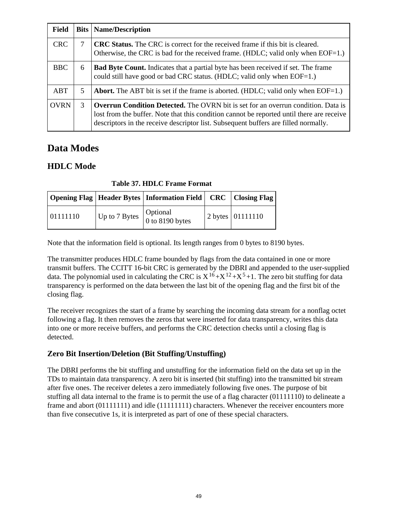| <b>Field</b> |   | <b>Bits   Name/Description</b>                                                                                                                                                                                                                                               |
|--------------|---|------------------------------------------------------------------------------------------------------------------------------------------------------------------------------------------------------------------------------------------------------------------------------|
| <b>CRC</b>   |   | <b>CRC Status.</b> The CRC is correct for the received frame if this bit is cleared.<br>Otherwise, the CRC is bad for the received frame. (HDLC; valid only when EOF=1.)                                                                                                     |
| <b>BBC</b>   | 6 | <b>Bad Byte Count.</b> Indicates that a partial byte has been received if set. The frame<br>could still have good or bad CRC status. (HDLC; valid only when EOF=1.)                                                                                                          |
| ABT          | 5 | <b>Abort.</b> The ABT bit is set if the frame is aborted. (HDLC; valid only when $EOF=1$ .)                                                                                                                                                                                  |
| <b>OVRN</b>  | 3 | <b>Overrun Condition Detected.</b> The OVRN bit is set for an overrun condition. Data is<br>lost from the buffer. Note that this condition cannot be reported until there are receive<br>descriptors in the receive descriptor list. Subsequent buffers are filled normally. |

# **Data Modes**

# **HDLC Mode**

**Table 37. HDLC Frame Format**

|          | Opening Flag   Header Bytes   Information Field   CRC   Closing Flag |                    |
|----------|----------------------------------------------------------------------|--------------------|
| 01111110 | $\vert$ Up to 7 Bytes $\vert$ Optional 0 to 8190 bytes               | 2 bytes   01111110 |

Note that the information field is optional. Its length ranges from 0 bytes to 8190 bytes.

The transmitter produces HDLC frame bounded by flags from the data contained in one or more transmit buffers. The CCITT 16-bit CRC is gernerated by the DBRI and appended to the user-supplied data. The polynomial used in calculating the CRC is  $X^{16} + X^{12} + X^5 + 1$ . The zero bit stuffing for data transparency is performed on the data between the last bit of the opening flag and the first bit of the closing flag.

The receiver recognizes the start of a frame by searching the incoming data stream for a nonflag octet following a flag. It then removes the zeros that were inserted for data transparency, writes this data into one or more receive buffers, and performs the CRC detection checks until a closing flag is detected.

## **Zero Bit Insertion/Deletion (Bit Stuffing/Unstuffing)**

The DBRI performs the bit stuffing and unstuffing for the information field on the data set up in the TDs to maintain data transparency. A zero bit is inserted (bit stuffing) into the transmitted bit stream after five ones. The receiver deletes a zero immediately following five ones. The purpose of bit stuffing all data internal to the frame is to permit the use of a flag character (01111110) to delineate a frame and abort (01111111) and idle (11111111) characters. Whenever the receiver encounters more than five consecutive 1s, it is interpreted as part of one of these special characters.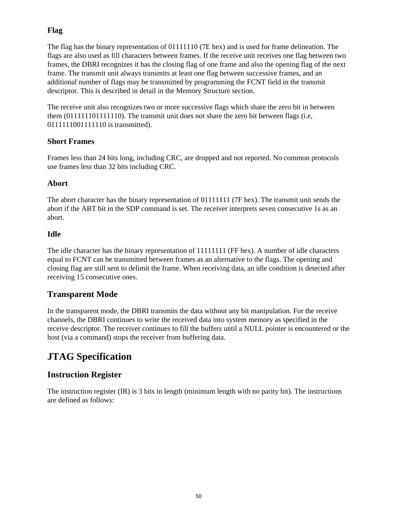### **Flag**

The flag has the binary representation of 01111110 (7E hex) and is used for frame delineation. The flags are also used as fill characters between frames. If the receive unit receives one flag between two frames, the DBRI recognizes it has the closing flag of one frame and also the opening flag of the next frame. The transmit unit always transmits at least one flag between successive frames, and an additional number of flags may be transmitted by programming the FCNT field in the transmit descriptor. This is described in detail in the Memory Structure section.

The receive unit also recognizes two or more successive flags which share the zero bit in between them (011111101111110). The transmit unit does not share the zero bit between flags (i.e, 0111111001111110 is transmitted).

### **Short Frames**

Frames less than 24 bits long, including CRC, are dropped and not reported. No common protocols use frames less than 32 bits including CRC.

### **Abort**

The abort character has the binary representation of 01111111 (7F hex). The transmit unit sends the abort if the ABT bit in the SDP command is set. The receiver interprets seven consecutive 1s as an abort.

### **Idle**

The idle character has the binary representation of 11111111 (FF hex). A number of idle characters equal to FCNT can be transmitted between frames as an alternative to the flags. The opening and closing flag are still sent to delimit the frame. When receiving data, an idle condition is detected after receiving 15 consecutive ones.

### **Transparent Mode**

In the transparent mode, the DBRI transmits the data without any bit manipulation. For the receive channels, the DBRI continues to write the received data into system memory as specified in the receive descriptor. The receiver continues to fill the buffers until a NULL pointer is encountered or the host (via a command) stops the receiver from buffering data.

# **JTAG Specification**

## **Instruction Register**

The instruction register (IR) is 3 bits in length (minimum length with no parity bit). The instructions are defined as follows: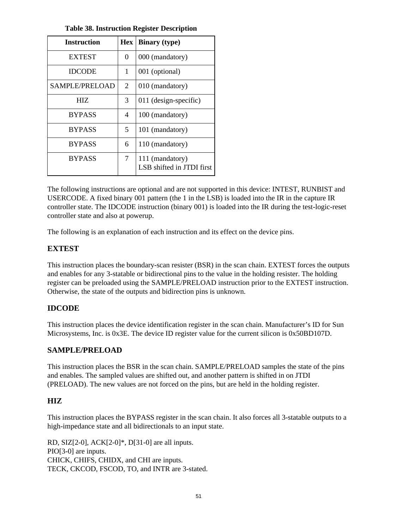| <b>Instruction</b>    | <b>Hex</b> | <b>Binary</b> (type)                         |
|-----------------------|------------|----------------------------------------------|
| <b>EXTEST</b>         | $\Omega$   | 000 (mandatory)                              |
| <b>IDCODE</b>         | 1          | 001 (optional)                               |
| <b>SAMPLE/PRELOAD</b> | 2          | 010 (mandatory)                              |
| HIZ.                  | 3          | 011 (design-specific)                        |
| <b>BYPASS</b>         | 4          | 100 (mandatory)                              |
| <b>BYPASS</b>         | 5          | 101 (mandatory)                              |
| <b>BYPASS</b>         | 6          | 110 (mandatory)                              |
| <b>BYPASS</b>         | 7          | 111 (mandatory)<br>LSB shifted in JTDI first |

**Table 38. Instruction Register Description**

The following instructions are optional and are not supported in this device: INTEST, RUNBIST and USERCODE. A fixed binary 001 pattern (the 1 in the LSB) is loaded into the IR in the capture IR controller state. The IDCODE instruction (binary 001) is loaded into the IR during the test-logic-reset controller state and also at powerup.

The following is an explanation of each instruction and its effect on the device pins.

### **EXTEST**

This instruction places the boundary-scan resister (BSR) in the scan chain. EXTEST forces the outputs and enables for any 3-statable or bidirectional pins to the value in the holding resister. The holding register can be preloaded using the SAMPLE/PRELOAD instruction prior to the EXTEST instruction. Otherwise, the state of the outputs and bidirection pins is unknown.

### **IDCODE**

This instruction places the device identification register in the scan chain. Manufacturer's ID for Sun Microsystems, Inc. is 0x3E. The device ID register value for the current silicon is 0x50BD107D.

### **SAMPLE/PRELOAD**

This instruction places the BSR in the scan chain. SAMPLE/PRELOAD samples the state of the pins and enables. The sampled values are shifted out, and another pattern is shifted in on JTDI (PRELOAD). The new values are not forced on the pins, but are held in the holding register.

### **HIZ**

This instruction places the BYPASS register in the scan chain. It also forces all 3-statable outputs to a high-impedance state and all bidirectionals to an input state.

RD, SIZ[2-0], ACK[2-0]\*, D[31-0] are all inputs. PIO[3-0] are inputs. CHICK, CHIFS, CHIDX, and CHI are inputs. TECK, CKCOD, FSCOD, TO, and INTR are 3-stated.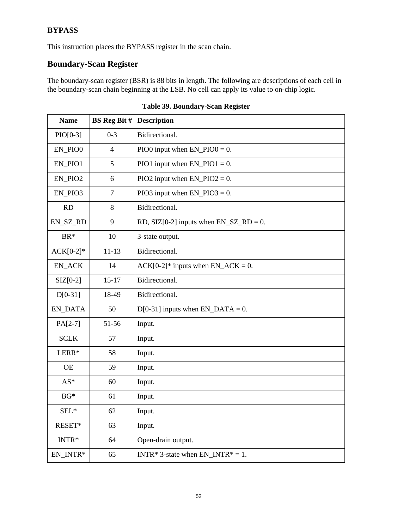## **BYPASS**

This instruction places the BYPASS register in the scan chain.

# **Boundary-Scan Register**

The boundary-scan register (BSR) is 88 bits in length. The following are descriptions of each cell in the boundary-scan chain beginning at the LSB. No cell can apply its value to on-chip logic.

| <b>Name</b>           | <b>BS</b> Reg Bit # | <b>Description</b>                          |
|-----------------------|---------------------|---------------------------------------------|
| $PIO[0-3]$            | $0 - 3$             | Bidirectional.                              |
| EN_PIO0               | $\overline{4}$      | PIO0 input when $EN_PIO0 = 0$ .             |
| EN_PIO1               | 5                   | PIO1 input when $EN_PIO1 = 0$ .             |
| EN_PIO2               | 6                   | PIO2 input when $EN_PIO2 = 0$ .             |
| EN_PIO3               | $\tau$              | PIO3 input when $EN_PIO3 = 0$ .             |
| RD                    | 8                   | Bidirectional.                              |
| EN_SZ_RD              | 9                   | RD, SIZ[0-2] inputs when $EN\_SZ\_RD = 0$ . |
| BR*                   | 10                  | 3-state output.                             |
| $ACK[0-2]*$           | $11 - 13$           | Bidirectional.                              |
| EN_ACK                | 14                  | $ACK[0-2]*$ inputs when $EN\_ACK = 0$ .     |
| $\text{SIZ}[0-2]$     | $15 - 17$           | Bidirectional.                              |
| $D[0-31]$             | 18-49               | Bidirectional.                              |
| <b>EN_DATA</b>        | 50                  | $D[0-31]$ inputs when $EN\_DATA = 0$ .      |
| $PA[2-7]$             | 51-56               | Input.                                      |
| <b>SCLK</b>           | 57                  | Input.                                      |
| LERR*                 | 58                  | Input.                                      |
| <b>OE</b>             | 59                  | Input.                                      |
| $AS^*$                | 60                  | Input.                                      |
| $BG*$                 | 61                  | Input.                                      |
| $SEL*$                | 62                  | Input.                                      |
| RESET*                | 63                  | Input.                                      |
| $INTR*$               | 64                  | Open-drain output.                          |
| $\mathsf{EN\_INTR}^*$ | 65                  | INTR* 3-state when $EN_INTR* = 1$ .         |

|  |  |  | Table 39. Boundary-Scan Register |
|--|--|--|----------------------------------|
|--|--|--|----------------------------------|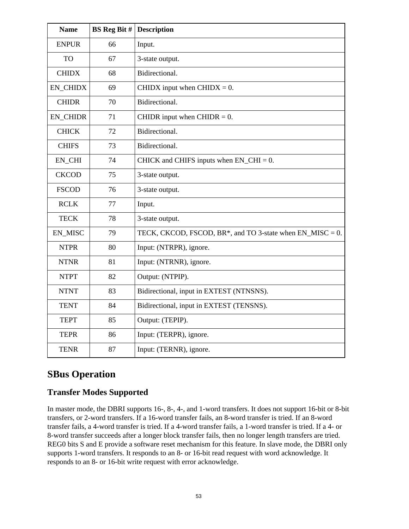| <b>Name</b>     | <b>BS</b> Reg Bit # | <b>Description</b>                                            |
|-----------------|---------------------|---------------------------------------------------------------|
| <b>ENPUR</b>    | 66                  | Input.                                                        |
| <b>TO</b>       | 67                  | 3-state output.                                               |
| <b>CHIDX</b>    | 68                  | Bidirectional.                                                |
| <b>EN_CHIDX</b> | 69                  | CHIDX input when $CHIDX = 0$ .                                |
| <b>CHIDR</b>    | 70                  | Bidirectional.                                                |
| <b>EN_CHIDR</b> | 71                  | CHIDR input when CHIDR $= 0$ .                                |
| <b>CHICK</b>    | 72                  | Bidirectional.                                                |
| <b>CHIFS</b>    | 73                  | Bidirectional.                                                |
| EN_CHI          | 74                  | CHICK and CHIFS inputs when $EN\_CHI = 0$ .                   |
| <b>CKCOD</b>    | 75                  | 3-state output.                                               |
| <b>FSCOD</b>    | 76                  | 3-state output.                                               |
| <b>RCLK</b>     | 77                  | Input.                                                        |
| <b>TECK</b>     | 78                  | 3-state output.                                               |
| EN_MISC         | 79                  | TECK, CKCOD, FSCOD, BR $*$ , and TO 3-state when EN_MISC = 0. |
| <b>NTPR</b>     | 80                  | Input: (NTRPR), ignore.                                       |
| <b>NTNR</b>     | 81                  | Input: (NTRNR), ignore.                                       |
| <b>NTPT</b>     | 82                  | Output: (NTPIP).                                              |
| <b>NTNT</b>     | 83                  | Bidirectional, input in EXTEST (NTNSNS).                      |
| <b>TENT</b>     | 84                  | Bidirectional, input in EXTEST (TENSNS).                      |
| <b>TEPT</b>     | 85                  | Output: (TEPIP).                                              |
| <b>TEPR</b>     | 86                  | Input: (TERPR), ignore.                                       |
| <b>TENR</b>     | 87                  | Input: (TERNR), ignore.                                       |

# **SBus Operation**

### **Transfer Modes Supported**

In master mode, the DBRI supports 16-, 8-, 4-, and 1-word transfers. It does not support 16-bit or 8-bit transfers, or 2-word transfers. If a 16-word transfer fails, an 8-word transfer is tried. If an 8-word transfer fails, a 4-word transfer is tried. If a 4-word transfer fails, a 1-word transfer is tried. If a 4- or 8-word transfer succeeds after a longer block transfer fails, then no longer length transfers are tried. REG0 bits S and E provide a software reset mechanism for this feature. In slave mode, the DBRI only supports 1-word transfers. It responds to an 8- or 16-bit read request with word acknowledge. It responds to an 8- or 16-bit write request with error acknowledge.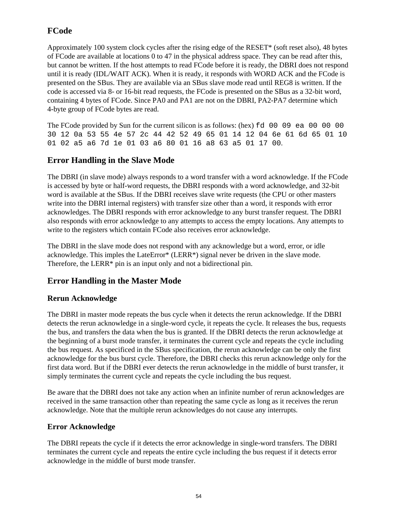## **FCode**

Approximately 100 system clock cycles after the rising edge of the RESET\* (soft reset also), 48 bytes of FCode are available at locations 0 to 47 in the physical address space. They can be read after this, but cannot be written. If the host attempts to read FCode before it is ready, the DBRI does not respond until it is ready (IDL/WAIT ACK). When it is ready, it responds with WORD ACK and the FCode is presented on the SBus. They are available via an SBus slave mode read until REG8 is written. If the code is accessed via 8- or 16-bit read requests, the FCode is presented on the SBus as a 32-bit word, containing 4 bytes of FCode. Since PA0 and PA1 are not on the DBRI, PA2-PA7 determine which 4-byte group of FCode bytes are read.

The FCode provided by Sun for the current silicon is as follows: (hex) fd 00 09 ea 00 00 00 30 12 0a 53 55 4e 57 2c 44 42 52 49 65 01 14 12 04 6e 61 6d 65 01 10 01 02 a5 a6 7d 1e 01 03 a6 80 01 16 a8 63 a5 01 17 00.

## **Error Handling in the Slave Mode**

The DBRI (in slave mode) always responds to a word transfer with a word acknowledge. If the FCode is accessed by byte or half-word requests, the DBRI responds with a word acknowledge, and 32-bit word is available at the SBus. If the DBRI receives slave write requests (the CPU or other masters write into the DBRI internal registers) with transfer size other than a word, it responds with error acknowledges. The DBRI responds with error acknowledge to any burst transfer request. The DBRI also responds with error acknowledge to any attempts to access the empty locations. Any attempts to write to the registers which contain FCode also receives error acknowledge.

The DBRI in the slave mode does not respond with any acknowledge but a word, error, or idle acknowledge. This imples the LateError\* (LERR\*) signal never be driven in the slave mode. Therefore, the LERR\* pin is an input only and not a bidirectional pin.

## **Error Handling in the Master Mode**

### **Rerun Acknowledge**

The DBRI in master mode repeats the bus cycle when it detects the rerun acknowledge. If the DBRI detects the rerun acknowledge in a single-word cycle, it repeats the cycle. It releases the bus, requests the bus, and transfers the data when the bus is granted. If the DBRI detects the rerun acknowledge at the beginning of a burst mode transfer, it terminates the current cycle and repeats the cycle including the bus request. As specificed in the SBus specification, the rerun acknowledge can be only the first acknowledge for the bus burst cycle. Therefore, the DBRI checks this rerun acknowledge only for the first data word. But if the DBRI ever detects the rerun acknowledge in the middle of burst transfer, it simply terminates the current cycle and repeats the cycle including the bus request.

Be aware that the DBRI does not take any action when an infinite number of rerun acknowledges are received in the same transaction other than repeating the same cycle as long as it receives the rerun acknowledge. Note that the multiple rerun acknowledges do not cause any interrupts.

### **Error Acknowledge**

The DBRI repeats the cycle if it detects the error acknowledge in single-word transfers. The DBRI terminates the current cycle and repeats the entire cycle including the bus request if it detects error acknowledge in the middle of burst mode transfer.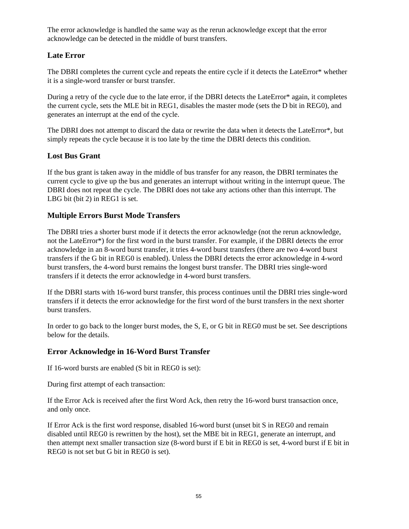The error acknowledge is handled the same way as the rerun acknowledge except that the error acknowledge can be detected in the middle of burst transfers.

### **Late Error**

The DBRI completes the current cycle and repeats the entire cycle if it detects the LateError\* whether it is a single-word transfer or burst transfer.

During a retry of the cycle due to the late error, if the DBRI detects the LateError\* again, it completes the current cycle, sets the MLE bit in REG1, disables the master mode (sets the D bit in REG0), and generates an interrupt at the end of the cycle.

The DBRI does not attempt to discard the data or rewrite the data when it detects the LateError\*, but simply repeats the cycle because it is too late by the time the DBRI detects this condition.

### **Lost Bus Grant**

If the bus grant is taken away in the middle of bus transfer for any reason, the DBRI terminates the current cycle to give up the bus and generates an interrupt without writing in the interrupt queue. The DBRI does not repeat the cycle. The DBRI does not take any actions other than this interrupt. The LBG bit (bit 2) in REG1 is set.

### **Multiple Errors Burst Mode Transfers**

The DBRI tries a shorter burst mode if it detects the error acknowledge (not the rerun acknowledge, not the LateError\*) for the first word in the burst transfer. For example, if the DBRI detects the error acknowledge in an 8-word burst transfer, it tries 4-word burst transfers (there are two 4-word burst transfers if the G bit in REG0 is enabled). Unless the DBRI detects the error acknowledge in 4-word burst transfers, the 4-word burst remains the longest burst transfer. The DBRI tries single-word transfers if it detects the error acknowledge in 4-word burst transfers.

If the DBRI starts with 16-word burst transfer, this process continues until the DBRI tries single-word transfers if it detects the error acknowledge for the first word of the burst transfers in the next shorter burst transfers.

In order to go back to the longer burst modes, the S, E, or G bit in REG0 must be set. See descriptions below for the details.

### **Error Acknowledge in 16-Word Burst Transfer**

If 16-word bursts are enabled (S bit in REG0 is set):

During first attempt of each transaction:

If the Error Ack is received after the first Word Ack, then retry the 16-word burst transaction once, and only once.

If Error Ack is the first word response, disabled 16-word burst (unset bit S in REG0 and remain disabled until REG0 is rewritten by the host), set the MBE bit in REG1, generate an interrupt, and then attempt next smaller transaction size (8-word burst if E bit in REG0 is set, 4-word burst if E bit in REG0 is not set but G bit in REG0 is set).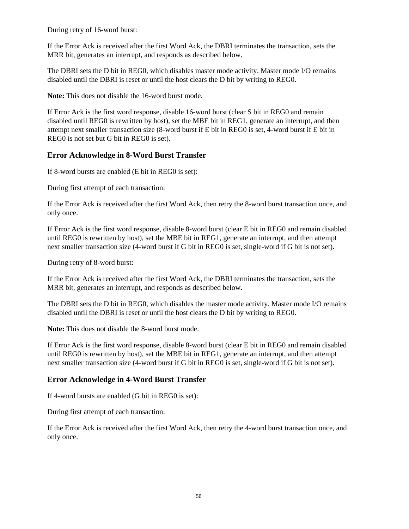During retry of 16-word burst:

If the Error Ack is received after the first Word Ack, the DBRI terminates the transaction, sets the MRR bit, generates an interrupt, and responds as described below.

The DBRI sets the D bit in REG0, which disables master mode activity. Master mode I/O remains disabled until the DBRI is reset or until the host clears the D bit by writing to REG0.

**Note:** This does not disable the 16-word burst mode.

If Error Ack is the first word response, disable 16-word burst (clear S bit in REG0 and remain disabled until REG0 is rewritten by host), set the MBE bit in REG1, generate an interrupt, and then attempt next smaller transaction size (8-word burst if E bit in REG0 is set, 4-word burst if E bit in REG0 is not set but G bit in REG0 is set).

### **Error Acknowledge in 8-Word Burst Transfer**

If 8-word bursts are enabled (E bit in REG0 is set):

During first attempt of each transaction:

If the Error Ack is received after the first Word Ack, then retry the 8-word burst transaction once, and only once.

If Error Ack is the first word response, disable 8-word burst (clear E bit in REG0 and remain disabled until REG0 is rewritten by host), set the MBE bit in REG1, generate an interrupt, and then attempt next smaller transaction size (4-word burst if G bit in REG0 is set, single-word if G bit is not set).

During retry of 8-word burst:

If the Error Ack is received after the first Word Ack, the DBRI terminates the transaction, sets the MRR bit, generates an interrupt, and responds as described below.

The DBRI sets the D bit in REG0, which disables the master mode activity. Master mode I/O remains disabled until the DBRI is reset or until the host clears the D bit by writing to REG0.

**Note:** This does not disable the 8-word burst mode.

If Error Ack is the first word response, disable 8-word burst (clear E bit in REG0 and remain disabled until REG0 is rewritten by host), set the MBE bit in REG1, generate an interrupt, and then attempt next smaller transaction size (4-word burst if G bit in REG0 is set, single-word if G bit is not set).

### **Error Acknowledge in 4-Word Burst Transfer**

If 4-word bursts are enabled (G bit in REG0 is set):

During first attempt of each transaction:

If the Error Ack is received after the first Word Ack, then retry the 4-word burst transaction once, and only once.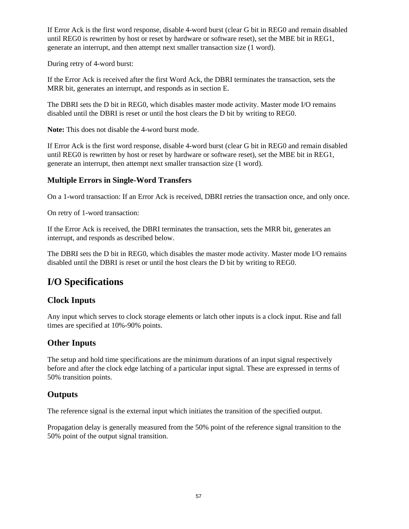If Error Ack is the first word response, disable 4-word burst (clear G bit in REG0 and remain disabled until REG0 is rewritten by host or reset by hardware or software reset), set the MBE bit in REG1, generate an interrupt, and then attempt next smaller transaction size (1 word).

During retry of 4-word burst:

If the Error Ack is received after the first Word Ack, the DBRI terminates the transaction, sets the MRR bit, generates an interrupt, and responds as in section E.

The DBRI sets the D bit in REG0, which disables master mode activity. Master mode I/O remains disabled until the DBRI is reset or until the host clears the D bit by writing to REG0.

**Note:** This does not disable the 4-word burst mode.

If Error Ack is the first word response, disable 4-word burst (clear G bit in REG0 and remain disabled until REG0 is rewritten by host or reset by hardware or software reset), set the MBE bit in REG1, generate an interrupt, then attempt next smaller transaction size (1 word).

### **Multiple Errors in Single-Word Transfers**

On a 1-word transaction: If an Error Ack is received, DBRI retries the transaction once, and only once.

On retry of 1-word transaction:

If the Error Ack is received, the DBRI terminates the transaction, sets the MRR bit, generates an interrupt, and responds as described below.

The DBRI sets the D bit in REG0, which disables the master mode activity. Master mode I/O remains disabled until the DBRI is reset or until the host clears the D bit by writing to REG0.

# **I/O Specifications**

## **Clock Inputs**

Any input which serves to clock storage elements or latch other inputs is a clock input. Rise and fall times are specified at 10%-90% points.

## **Other Inputs**

The setup and hold time specifications are the minimum durations of an input signal respectively before and after the clock edge latching of a particular input signal. These are expressed in terms of 50% transition points.

### **Outputs**

The reference signal is the external input which initiates the transition of the specified output.

Propagation delay is generally measured from the 50% point of the reference signal transition to the 50% point of the output signal transition.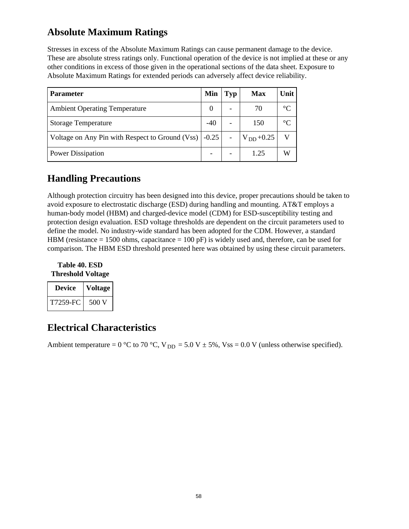# **Absolute Maximum Ratings**

Stresses in excess of the Absolute Maximum Ratings can cause permanent damage to the device. These are absolute stress ratings only. Functional operation of the device is not implied at these or any other conditions in excess of those given in the operational sections of the data sheet. Exposure to Absolute Maximum Ratings for extended periods can adversely affect device reliability.

| <b>Parameter</b>                                                      | Min    | Typ                      | Max             | Unit        |
|-----------------------------------------------------------------------|--------|--------------------------|-----------------|-------------|
| <b>Ambient Operating Temperature</b>                                  | $_{0}$ | -                        | 70              | $^{\circ}C$ |
| <b>Storage Temperature</b>                                            |        | -                        | 150             | $^{\circ}C$ |
| Voltage on Any Pin with Respect to Ground (Vss) $\vert$ -0.25 $\vert$ |        | $\overline{\phantom{a}}$ | $ V_{DD}+0.25 $ |             |
| Power Dissipation                                                     |        |                          | 1.25            | W           |

# **Handling Precautions**

Although protection circuitry has been designed into this device, proper precautions should be taken to avoid exposure to electrostatic discharge (ESD) during handling and mounting. AT&T employs a human-body model (HBM) and charged-device model (CDM) for ESD-susceptibility testing and protection design evaluation. ESD voltage thresholds are dependent on the circuit parameters used to define the model. No industry-wide standard has been adopted for the CDM. However, a standard HBM (resistance  $= 1500$  ohms, capacitance  $= 100$  pF) is widely used and, therefore, can be used for comparison. The HBM ESD threshold presented here was obtained by using these circuit parameters.

**Table 40. ESD Threshold Voltage**

| Device   | Voltage |  |  |
|----------|---------|--|--|
| T7259-FC | 500 V   |  |  |

# **Electrical Characteristics**

Ambient temperature = 0 °C to 70 °C,  $V_{DD} = 5.0 V \pm 5\%$ , Vss = 0.0 V (unless otherwise specified).